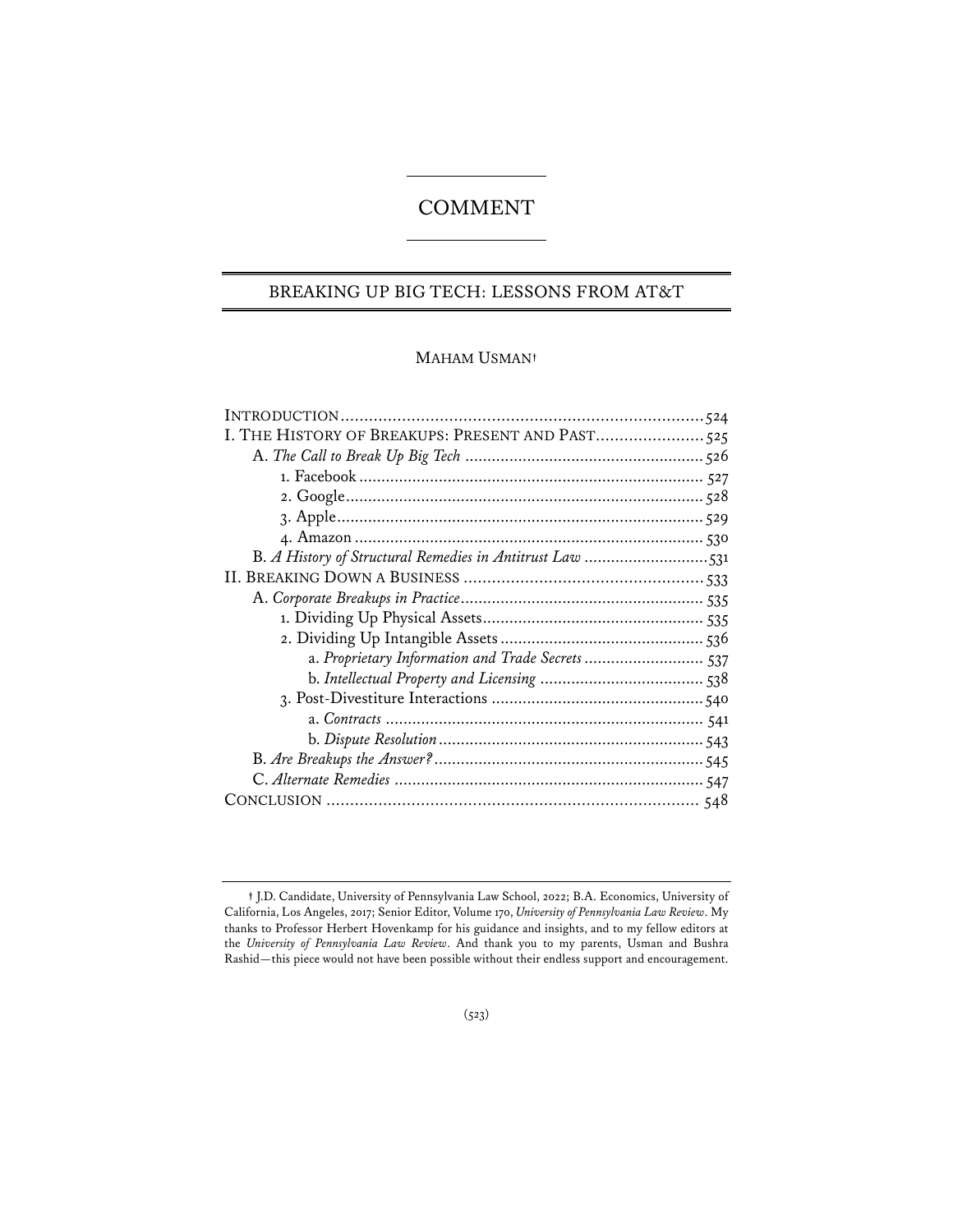# COMMENT

# BREAKING UP BIG TECH: LESSONS FROM AT&T

# MAHAM USMAN**†**

| I. THE HISTORY OF BREAKUPS: PRESENT AND PAST525          |  |
|----------------------------------------------------------|--|
|                                                          |  |
|                                                          |  |
|                                                          |  |
|                                                          |  |
|                                                          |  |
| B. A History of Structural Remedies in Antitrust Law 531 |  |
|                                                          |  |
|                                                          |  |
|                                                          |  |
|                                                          |  |
| a. Proprietary Information and Trade Secrets 537         |  |
|                                                          |  |
|                                                          |  |
|                                                          |  |
|                                                          |  |
|                                                          |  |
|                                                          |  |
|                                                          |  |
|                                                          |  |

**<sup>†</sup>** J.D. Candidate, University of Pennsylvania Law School, 2022; B.A. Economics, University of California, Los Angeles, 2017; Senior Editor, Volume 170, *University of Pennsylvania Law Review*. My thanks to Professor Herbert Hovenkamp for his guidance and insights, and to my fellow editors at the *University of Pennsylvania Law Review*. And thank you to my parents, Usman and Bushra Rashid—this piece would not have been possible without their endless support and encouragement.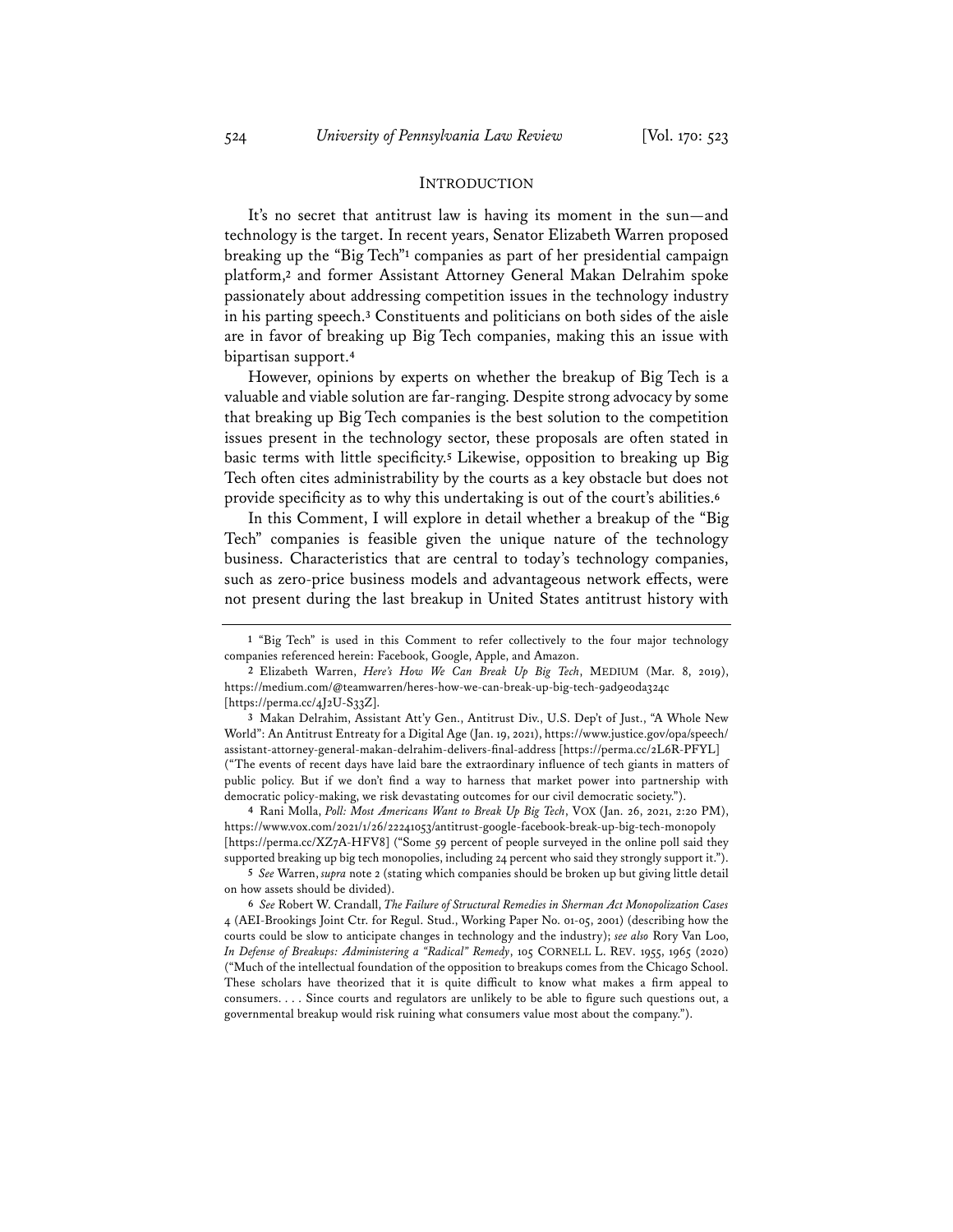#### **INTRODUCTION**

It's no secret that antitrust law is having its moment in the sun—and technology is the target. In recent years, Senator Elizabeth Warren proposed breaking up the "Big Tech"**<sup>1</sup>** companies as part of her presidential campaign platform,**<sup>2</sup>** and former Assistant Attorney General Makan Delrahim spoke passionately about addressing competition issues in the technology industry in his parting speech.**<sup>3</sup>** Constituents and politicians on both sides of the aisle are in favor of breaking up Big Tech companies, making this an issue with bipartisan support.**<sup>4</sup>**

However, opinions by experts on whether the breakup of Big Tech is a valuable and viable solution are far-ranging. Despite strong advocacy by some that breaking up Big Tech companies is the best solution to the competition issues present in the technology sector, these proposals are often stated in basic terms with little specificity.**<sup>5</sup>** Likewise, opposition to breaking up Big Tech often cites administrability by the courts as a key obstacle but does not provide specificity as to why this undertaking is out of the court's abilities.**<sup>6</sup>**

In this Comment, I will explore in detail whether a breakup of the "Big Tech" companies is feasible given the unique nature of the technology business. Characteristics that are central to today's technology companies, such as zero-price business models and advantageous network effects, were not present during the last breakup in United States antitrust history with

**4** Rani Molla, *Poll: Most Americans Want to Break Up Big Tech*, VOX (Jan. 26, 2021, 2:20 PM), https://www.vox.com/2021/1/26/22241053/antitrust-google-facebook-break-up-big-tech-monopoly [https://perma.cc/XZ7A-HFV8] ("Some 59 percent of people surveyed in the online poll said they supported breaking up big tech monopolies, including 24 percent who said they strongly support it.").

**5** *See* Warren, *supra* note 2 (stating which companies should be broken up but giving little detail on how assets should be divided).

**<sup>1</sup>** "Big Tech" is used in this Comment to refer collectively to the four major technology companies referenced herein: Facebook, Google, Apple, and Amazon.

**<sup>2</sup>** Elizabeth Warren, *Here's How We Can Break Up Big Tech*, MEDIUM (Mar. 8, 2019), https://medium.com/@teamwarren/heres-how-we-can-break-up-big-tech-9ad9e0da324c [https://perma.cc/4J2U-S33Z].

**<sup>3</sup>** Makan Delrahim, Assistant Att'y Gen., Antitrust Div., U.S. Dep't of Just., "A Whole New World": An Antitrust Entreaty for a Digital Age (Jan. 19, 2021), https://www.justice.gov/opa/speech/ assistant-attorney-general-makan-delrahim-delivers-final-address [https://perma.cc/2L6R-PFYL] ("The events of recent days have laid bare the extraordinary influence of tech giants in matters of public policy. But if we don't find a way to harness that market power into partnership with democratic policy-making, we risk devastating outcomes for our civil democratic society.").

**<sup>6</sup>** *See* Robert W. Crandall, *The Failure of Structural Remedies in Sherman Act Monopolization Cases* 4 (AEI-Brookings Joint Ctr. for Regul. Stud., Working Paper No. 01-05, 2001) (describing how the courts could be slow to anticipate changes in technology and the industry); *see also* Rory Van Loo, *In Defense of Breakups: Administering a "Radical" Remedy*, 105 CORNELL L. REV. 1955, 1965 (2020) ("Much of the intellectual foundation of the opposition to breakups comes from the Chicago School. These scholars have theorized that it is quite difficult to know what makes a firm appeal to consumers. . . . Since courts and regulators are unlikely to be able to figure such questions out, a governmental breakup would risk ruining what consumers value most about the company.").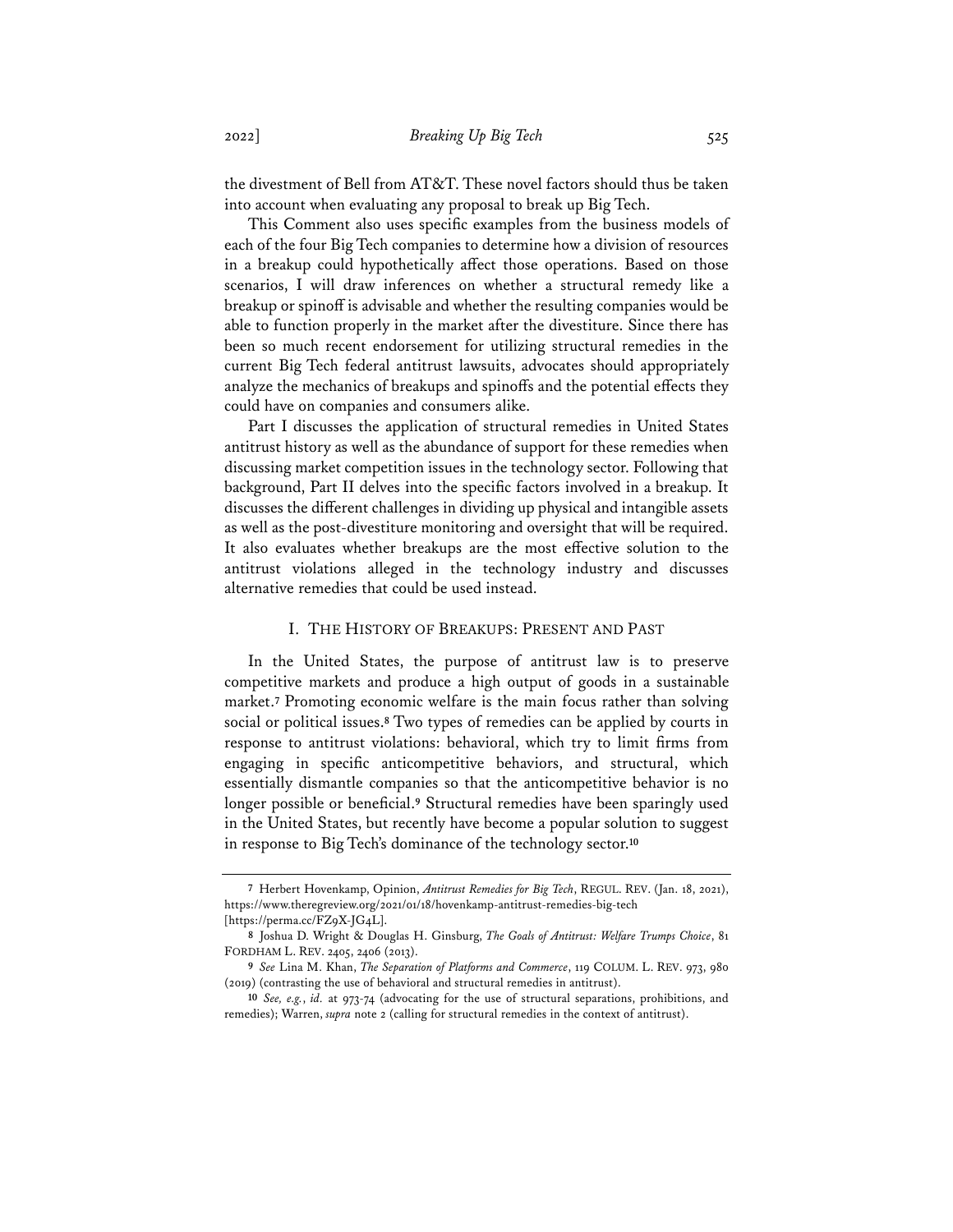the divestment of Bell from AT&T. These novel factors should thus be taken into account when evaluating any proposal to break up Big Tech.

This Comment also uses specific examples from the business models of each of the four Big Tech companies to determine how a division of resources in a breakup could hypothetically affect those operations. Based on those scenarios, I will draw inferences on whether a structural remedy like a breakup or spinoff is advisable and whether the resulting companies would be able to function properly in the market after the divestiture. Since there has been so much recent endorsement for utilizing structural remedies in the current Big Tech federal antitrust lawsuits, advocates should appropriately analyze the mechanics of breakups and spinoffs and the potential effects they could have on companies and consumers alike.

Part I discusses the application of structural remedies in United States antitrust history as well as the abundance of support for these remedies when discussing market competition issues in the technology sector. Following that background, Part II delves into the specific factors involved in a breakup. It discusses the different challenges in dividing up physical and intangible assets as well as the post-divestiture monitoring and oversight that will be required. It also evaluates whether breakups are the most effective solution to the antitrust violations alleged in the technology industry and discusses alternative remedies that could be used instead.

# I. THE HISTORY OF BREAKUPS: PRESENT AND PAST

In the United States, the purpose of antitrust law is to preserve competitive markets and produce a high output of goods in a sustainable market.**<sup>7</sup>** Promoting economic welfare is the main focus rather than solving social or political issues.**<sup>8</sup>** Two types of remedies can be applied by courts in response to antitrust violations: behavioral, which try to limit firms from engaging in specific anticompetitive behaviors, and structural, which essentially dismantle companies so that the anticompetitive behavior is no longer possible or beneficial.**<sup>9</sup>** Structural remedies have been sparingly used in the United States, but recently have become a popular solution to suggest in response to Big Tech's dominance of the technology sector.**<sup>10</sup>**

**<sup>7</sup>** Herbert Hovenkamp, Opinion, *Antitrust Remedies for Big Tech*, REGUL. REV. (Jan. 18, 2021), https://www.theregreview.org/2021/01/18/hovenkamp-antitrust-remedies-big-tech [https://perma.cc/FZ9X-JG4L].

**<sup>8</sup>** Joshua D. Wright & Douglas H. Ginsburg, *The Goals of Antitrust: Welfare Trumps Choice*, 81 FORDHAM L. REV. 2405, 2406 (2013).

**<sup>9</sup>** *See* Lina M. Khan, *The Separation of Platforms and Commerce*, 119 COLUM. L. REV. 973, 980 (2019) (contrasting the use of behavioral and structural remedies in antitrust).

**<sup>10</sup>** *See, e.g.*, *id.* at 973-74 (advocating for the use of structural separations, prohibitions, and remedies); Warren, *supra* note 2 (calling for structural remedies in the context of antitrust).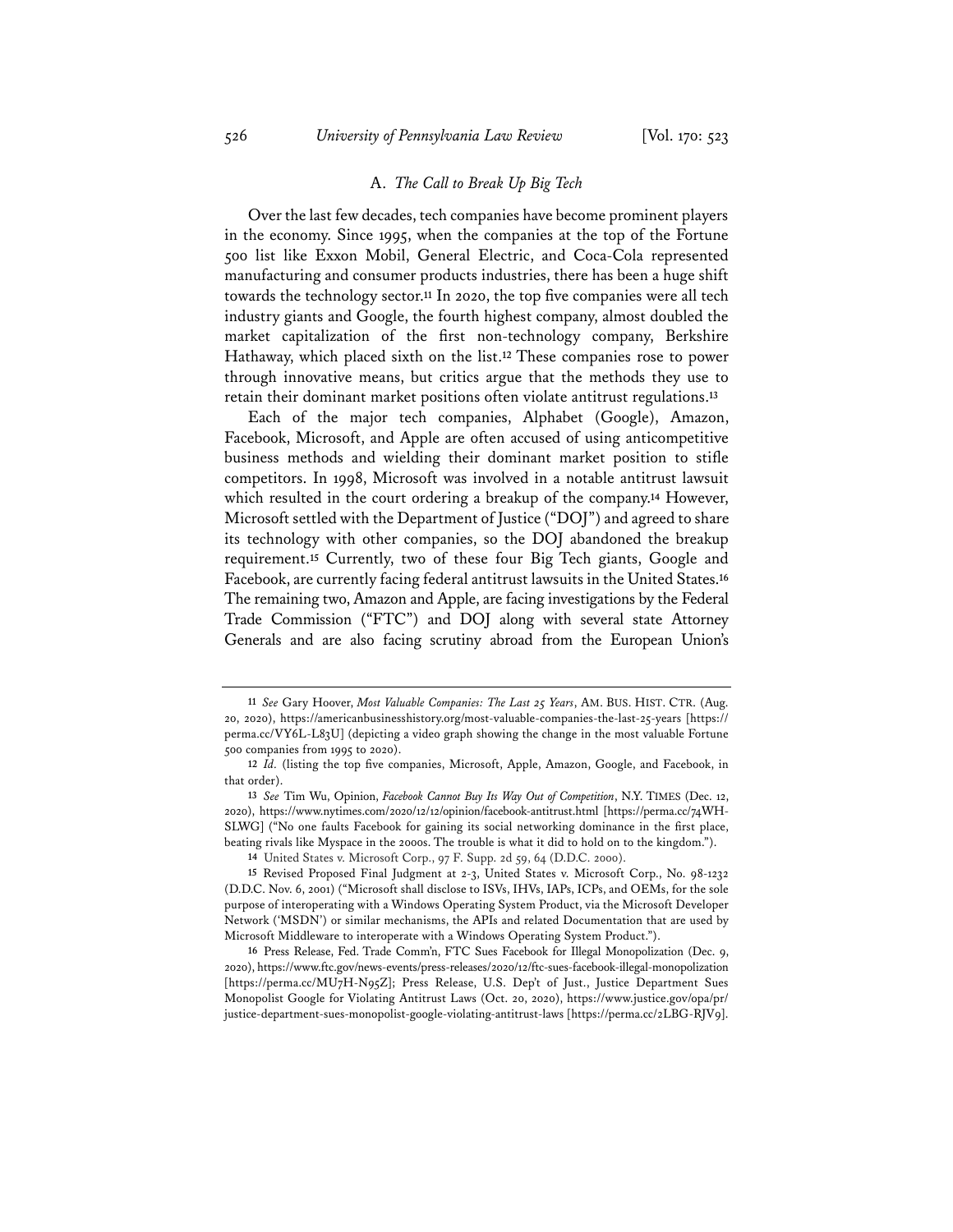#### A. *The Call to Break Up Big Tech*

Over the last few decades, tech companies have become prominent players in the economy. Since 1995, when the companies at the top of the Fortune 500 list like Exxon Mobil, General Electric, and Coca-Cola represented manufacturing and consumer products industries, there has been a huge shift towards the technology sector.**<sup>11</sup>** In 2020, the top five companies were all tech industry giants and Google, the fourth highest company, almost doubled the market capitalization of the first non-technology company, Berkshire Hathaway, which placed sixth on the list.**<sup>12</sup>** These companies rose to power through innovative means, but critics argue that the methods they use to retain their dominant market positions often violate antitrust regulations.**<sup>13</sup>**

Each of the major tech companies, Alphabet (Google), Amazon, Facebook, Microsoft, and Apple are often accused of using anticompetitive business methods and wielding their dominant market position to stifle competitors. In 1998, Microsoft was involved in a notable antitrust lawsuit which resulted in the court ordering a breakup of the company.**<sup>14</sup>** However, Microsoft settled with the Department of Justice ("DOJ") and agreed to share its technology with other companies, so the DOJ abandoned the breakup requirement.**<sup>15</sup>** Currently, two of these four Big Tech giants, Google and Facebook, are currently facing federal antitrust lawsuits in the United States.**<sup>16</sup>** The remaining two, Amazon and Apple, are facing investigations by the Federal Trade Commission ("FTC") and DOJ along with several state Attorney Generals and are also facing scrutiny abroad from the European Union's

**<sup>11</sup>** *See* Gary Hoover, *Most Valuable Companies: The Last 25 Years*, AM. BUS. HIST. CTR. (Aug. 20, 2020), https://americanbusinesshistory.org/most-valuable-companies-the-last-25-years [https:// perma.cc/VY6L-L83U] (depicting a video graph showing the change in the most valuable Fortune 500 companies from 1995 to 2020).

**<sup>12</sup>** *Id.* (listing the top five companies, Microsoft, Apple, Amazon, Google, and Facebook, in that order).

**<sup>13</sup>** *See* Tim Wu, Opinion, *Facebook Cannot Buy Its Way Out of Competition*, N.Y. TIMES (Dec. 12, 2020), https://www.nytimes.com/2020/12/12/opinion/facebook-antitrust.html [https://perma.cc/74WH-SLWG] ("No one faults Facebook for gaining its social networking dominance in the first place, beating rivals like Myspace in the 2000s. The trouble is what it did to hold on to the kingdom.").

**<sup>14</sup>** United States v. Microsoft Corp., 97 F. Supp. 2d 59, 64 (D.D.C. 2000).

**<sup>15</sup>** Revised Proposed Final Judgment at 2-3, United States v. Microsoft Corp., No. 98-1232 (D.D.C. Nov. 6, 2001) ("Microsoft shall disclose to ISVs, IHVs, IAPs, ICPs, and OEMs, for the sole purpose of interoperating with a Windows Operating System Product, via the Microsoft Developer Network ('MSDN') or similar mechanisms, the APIs and related Documentation that are used by Microsoft Middleware to interoperate with a Windows Operating System Product.").

**<sup>16</sup>** Press Release, Fed. Trade Comm'n, FTC Sues Facebook for Illegal Monopolization (Dec. 9, 2020), https://www.ftc.gov/news-events/press-releases/2020/12/ftc-sues-facebook-illegal-monopolization [https://perma.cc/MU7H-N95Z]; Press Release, U.S. Dep't of Just., Justice Department Sues Monopolist Google for Violating Antitrust Laws (Oct. 20, 2020), https://www.justice.gov/opa/pr/ justice-department-sues-monopolist-google-violating-antitrust-laws [https://perma.cc/2LBG-RJV9].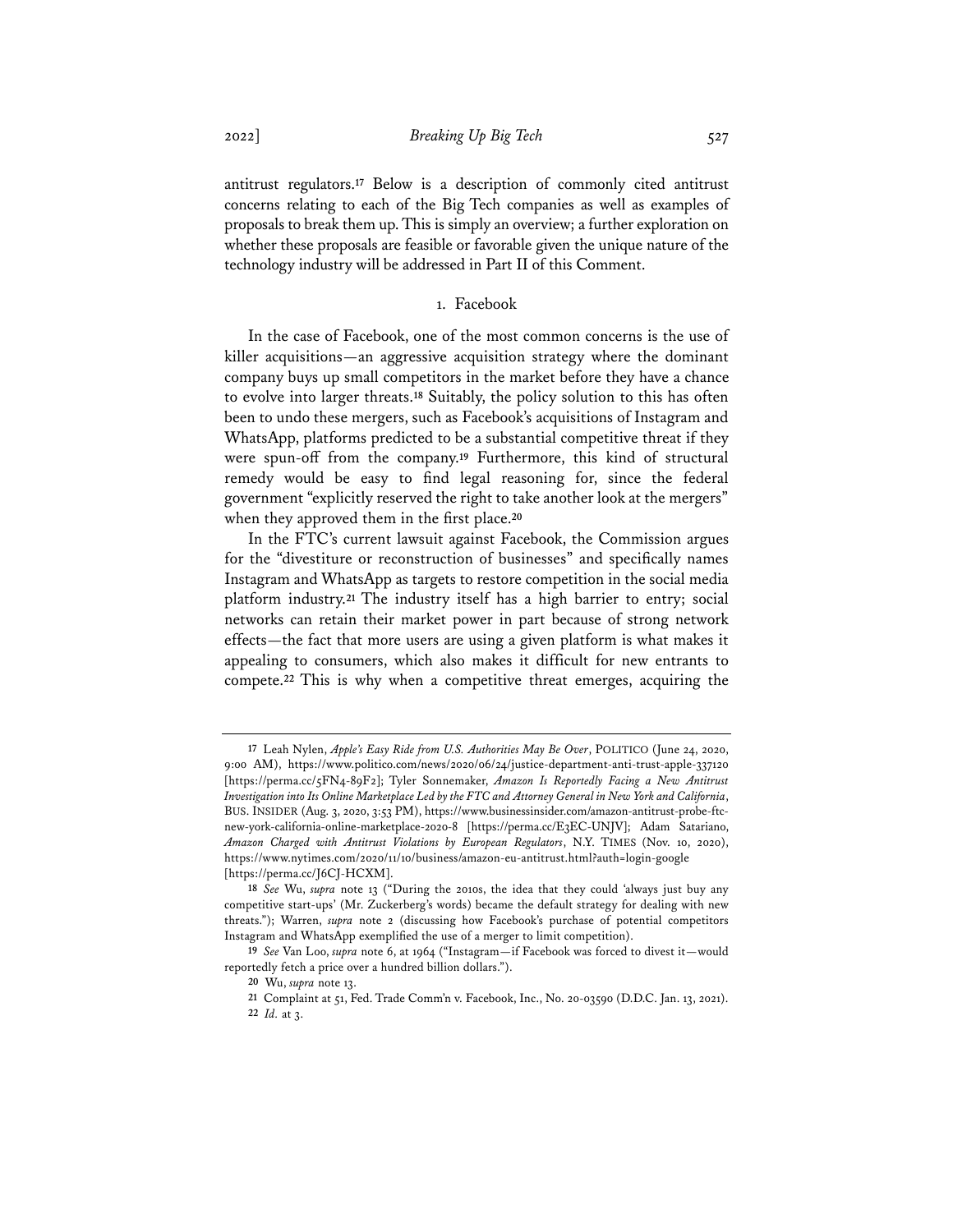antitrust regulators.**<sup>17</sup>** Below is a description of commonly cited antitrust concerns relating to each of the Big Tech companies as well as examples of proposals to break them up. This is simply an overview; a further exploration on whether these proposals are feasible or favorable given the unique nature of the technology industry will be addressed in Part II of this Comment.

# 1. Facebook

In the case of Facebook, one of the most common concerns is the use of killer acquisitions—an aggressive acquisition strategy where the dominant company buys up small competitors in the market before they have a chance to evolve into larger threats.**<sup>18</sup>** Suitably, the policy solution to this has often been to undo these mergers, such as Facebook's acquisitions of Instagram and WhatsApp, platforms predicted to be a substantial competitive threat if they were spun-off from the company.**<sup>19</sup>** Furthermore, this kind of structural remedy would be easy to find legal reasoning for, since the federal government "explicitly reserved the right to take another look at the mergers" when they approved them in the first place.**<sup>20</sup>**

In the FTC's current lawsuit against Facebook, the Commission argues for the "divestiture or reconstruction of businesses" and specifically names Instagram and WhatsApp as targets to restore competition in the social media platform industry.**<sup>21</sup>** The industry itself has a high barrier to entry; social networks can retain their market power in part because of strong network effects—the fact that more users are using a given platform is what makes it appealing to consumers, which also makes it difficult for new entrants to compete.**<sup>22</sup>** This is why when a competitive threat emerges, acquiring the

**<sup>17</sup>** Leah Nylen, *Apple's Easy Ride from U.S. Authorities May Be Over*, POLITICO (June 24, 2020, 9:00 AM), https://www.politico.com/news/2020/06/24/justice-department-anti-trust-apple-337120 [https://perma.cc/5FN4-89F2]; Tyler Sonnemaker, *Amazon Is Reportedly Facing a New Antitrust Investigation into Its Online Marketplace Led by the FTC and Attorney General in New York and California*, BUS. INSIDER (Aug. 3, 2020, 3:53 PM), https://www.businessinsider.com/amazon-antitrust-probe-ftcnew-york-california-online-marketplace-2020-8 [https://perma.cc/E3EC-UNJV]; Adam Satariano, *Amazon Charged with Antitrust Violations by European Regulators*, N.Y. TIMES (Nov. 10, 2020), https://www.nytimes.com/2020/11/10/business/amazon-eu-antitrust.html?auth=login-google [https://perma.cc/J6CJ-HCXM].

**<sup>18</sup>** *See* Wu, *supra* note 13 ("During the 2010s, the idea that they could 'always just buy any competitive start-ups' (Mr. Zuckerberg's words) became the default strategy for dealing with new threats."); Warren, *supra* note 2 (discussing how Facebook's purchase of potential competitors Instagram and WhatsApp exemplified the use of a merger to limit competition).

**<sup>19</sup>** *See* Van Loo, *supra* note 6, at 1964 ("Instagram—if Facebook was forced to divest it—would reportedly fetch a price over a hundred billion dollars.").

**<sup>20</sup>** Wu, *supra* note 13.

**<sup>21</sup>** Complaint at 51, Fed. Trade Comm'n v. Facebook, Inc., No. 20-03590 (D.D.C. Jan. 13, 2021). **22** *Id.* at 3.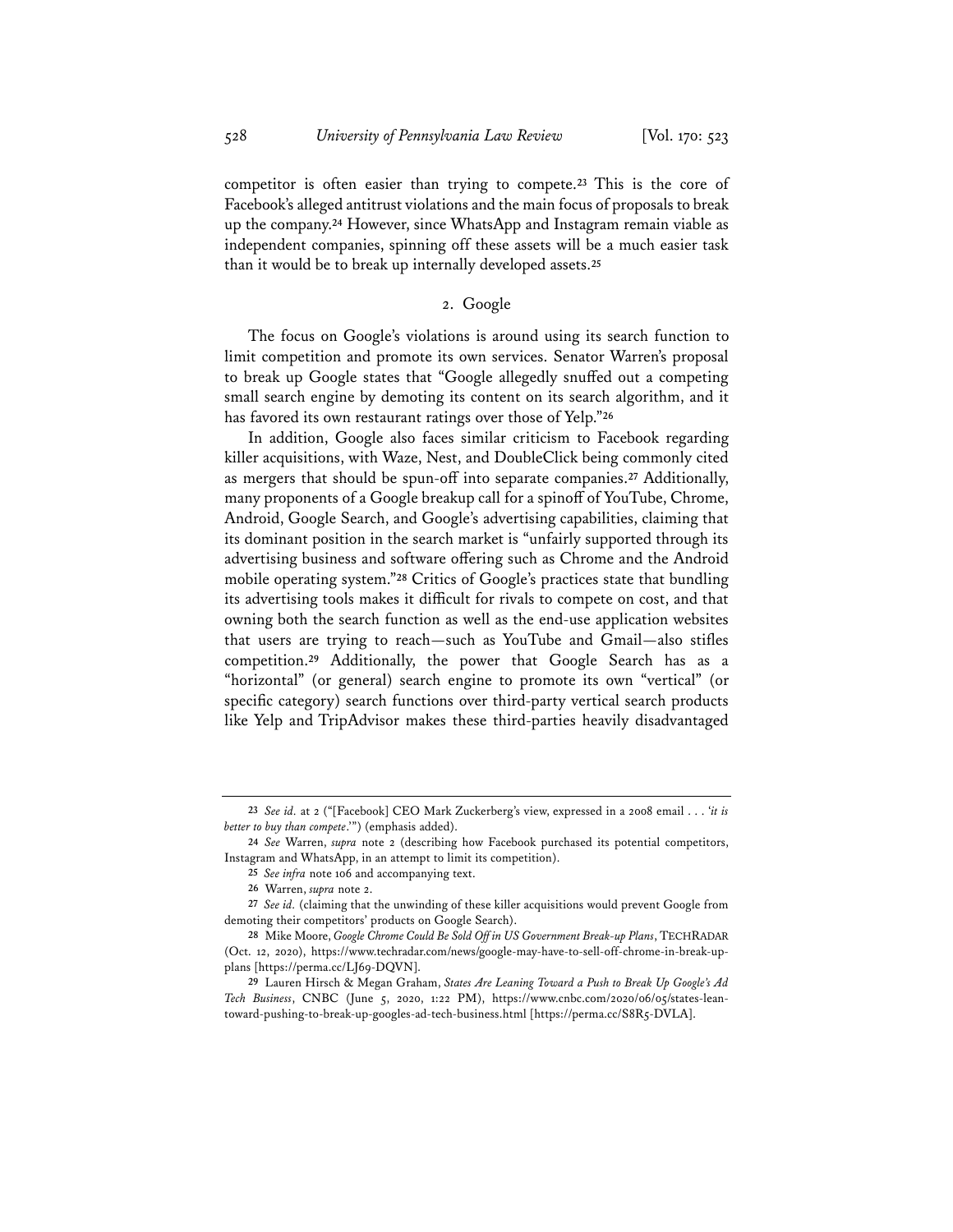competitor is often easier than trying to compete.**<sup>23</sup>** This is the core of Facebook's alleged antitrust violations and the main focus of proposals to break up the company.**<sup>24</sup>** However, since WhatsApp and Instagram remain viable as independent companies, spinning off these assets will be a much easier task than it would be to break up internally developed assets.**<sup>25</sup>**

# 2. Google

The focus on Google's violations is around using its search function to limit competition and promote its own services. Senator Warren's proposal to break up Google states that "Google allegedly snuffed out a competing small search engine by demoting its content on its search algorithm, and it has favored its own restaurant ratings over those of Yelp."**<sup>26</sup>**

In addition, Google also faces similar criticism to Facebook regarding killer acquisitions, with Waze, Nest, and DoubleClick being commonly cited as mergers that should be spun-off into separate companies.**<sup>27</sup>** Additionally, many proponents of a Google breakup call for a spinoff of YouTube, Chrome, Android, Google Search, and Google's advertising capabilities, claiming that its dominant position in the search market is "unfairly supported through its advertising business and software offering such as Chrome and the Android mobile operating system."**<sup>28</sup>** Critics of Google's practices state that bundling its advertising tools makes it difficult for rivals to compete on cost, and that owning both the search function as well as the end-use application websites that users are trying to reach—such as YouTube and Gmail—also stifles competition.**<sup>29</sup>** Additionally, the power that Google Search has as a "horizontal" (or general) search engine to promote its own "vertical" (or specific category) search functions over third-party vertical search products like Yelp and TripAdvisor makes these third-parties heavily disadvantaged

**<sup>23</sup>** *See id.* at 2 ("[Facebook] CEO Mark Zuckerberg's view, expressed in a 2008 email . . . '*it is better to buy than compete*.'") (emphasis added).

**<sup>24</sup>** *See* Warren, *supra* note 2 (describing how Facebook purchased its potential competitors, Instagram and WhatsApp, in an attempt to limit its competition).

**<sup>25</sup>** *See infra* note 106 and accompanying text.

**<sup>26</sup>** Warren, *supra* note 2.

**<sup>27</sup>** *See id.* (claiming that the unwinding of these killer acquisitions would prevent Google from demoting their competitors' products on Google Search).

**<sup>28</sup>** Mike Moore, *Google Chrome Could Be Sold Off in US Government Break-up Plans*, TECHRADAR (Oct. 12, 2020), https://www.techradar.com/news/google-may-have-to-sell-off-chrome-in-break-upplans [https://perma.cc/LJ69-DQVN].

**<sup>29</sup>** Lauren Hirsch & Megan Graham, *States Are Leaning Toward a Push to Break Up Google's Ad Tech Business*, CNBC (June 5, 2020, 1:22 PM), https://www.cnbc.com/2020/06/05/states-leantoward-pushing-to-break-up-googles-ad-tech-business.html [https://perma.cc/S8R5-DVLA].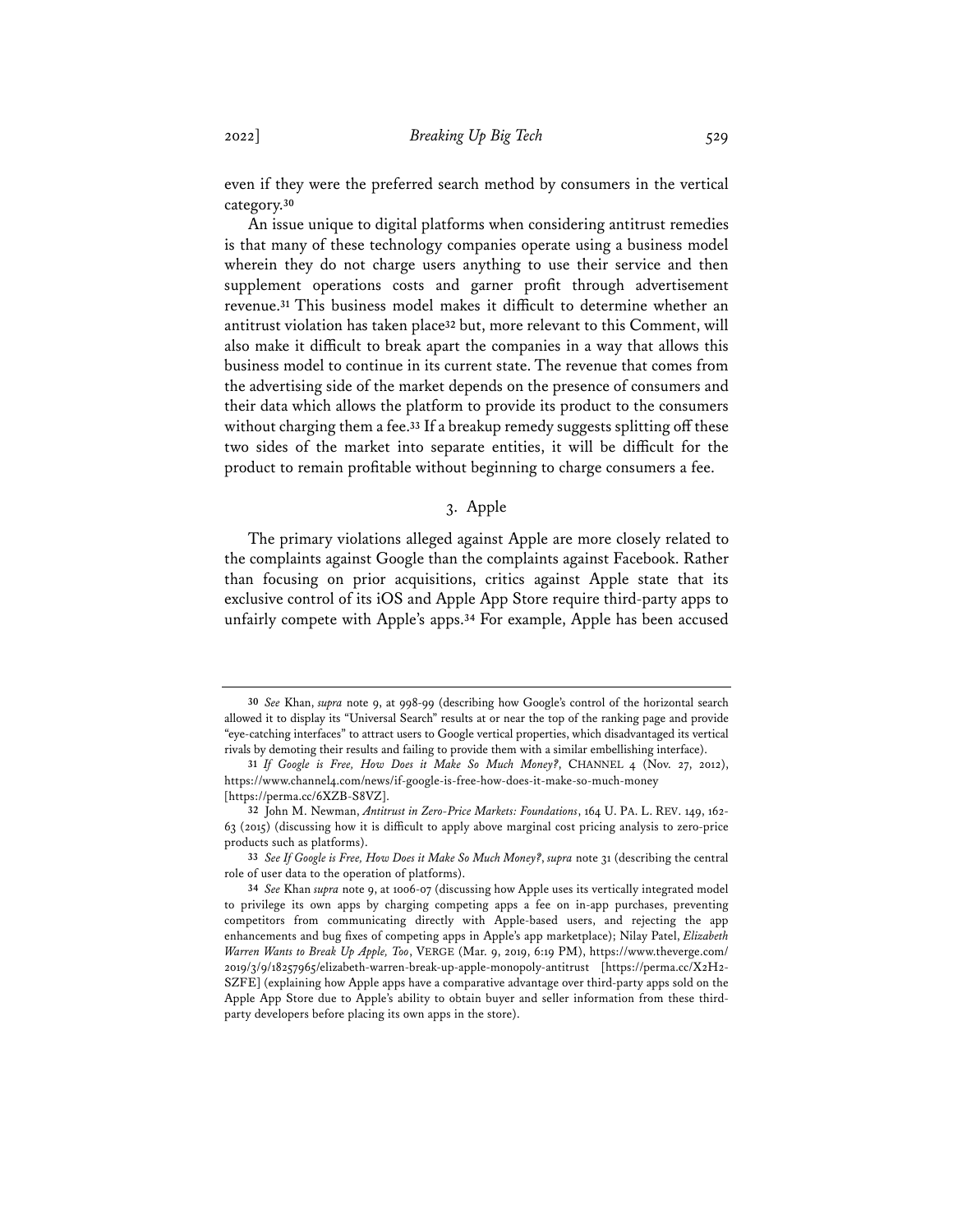even if they were the preferred search method by consumers in the vertical category.**<sup>30</sup>**

An issue unique to digital platforms when considering antitrust remedies is that many of these technology companies operate using a business model wherein they do not charge users anything to use their service and then supplement operations costs and garner profit through advertisement revenue.**<sup>31</sup>** This business model makes it difficult to determine whether an antitrust violation has taken place**<sup>32</sup>** but, more relevant to this Comment, will also make it difficult to break apart the companies in a way that allows this business model to continue in its current state. The revenue that comes from the advertising side of the market depends on the presence of consumers and their data which allows the platform to provide its product to the consumers without charging them a fee.**<sup>33</sup>** If a breakup remedy suggests splitting off these two sides of the market into separate entities, it will be difficult for the product to remain profitable without beginning to charge consumers a fee.

# 3. Apple

The primary violations alleged against Apple are more closely related to the complaints against Google than the complaints against Facebook. Rather than focusing on prior acquisitions, critics against Apple state that its exclusive control of its iOS and Apple App Store require third-party apps to unfairly compete with Apple's apps.**<sup>34</sup>** For example, Apple has been accused

**<sup>30</sup>** *See* Khan, *supra* note 9, at 998-99 (describing how Google's control of the horizontal search allowed it to display its "Universal Search" results at or near the top of the ranking page and provide "eye-catching interfaces" to attract users to Google vertical properties, which disadvantaged its vertical rivals by demoting their results and failing to provide them with a similar embellishing interface).

**<sup>31</sup>** *If Google is Free, How Does it Make So Much Money?*, CHANNEL 4 (Nov. 27, 2012), https://www.channel4.com/news/if-google-is-free-how-does-it-make-so-much-money [https://perma.cc/6XZB-S8VZ].

**<sup>32</sup>** John M. Newman, *Antitrust in Zero-Price Markets: Foundations*, 164 U. PA. L. REV. 149, 162- 63 (2015) (discussing how it is difficult to apply above marginal cost pricing analysis to zero-price products such as platforms).

**<sup>33</sup>** *See If Google is Free, How Does it Make So Much Money?*, *supra* note 31 (describing the central role of user data to the operation of platforms).

**<sup>34</sup>** *See* Khan *supra* note 9, at 1006-07 (discussing how Apple uses its vertically integrated model to privilege its own apps by charging competing apps a fee on in-app purchases, preventing competitors from communicating directly with Apple-based users, and rejecting the app enhancements and bug fixes of competing apps in Apple's app marketplace); Nilay Patel, *Elizabeth Warren Wants to Break Up Apple, Too*, VERGE (Mar. 9, 2019, 6:19 PM), https://www.theverge.com/ 2019/3/9/18257965/elizabeth-warren-break-up-apple-monopoly-antitrust [https://perma.cc/X2H2- SZFE] (explaining how Apple apps have a comparative advantage over third-party apps sold on the Apple App Store due to Apple's ability to obtain buyer and seller information from these thirdparty developers before placing its own apps in the store).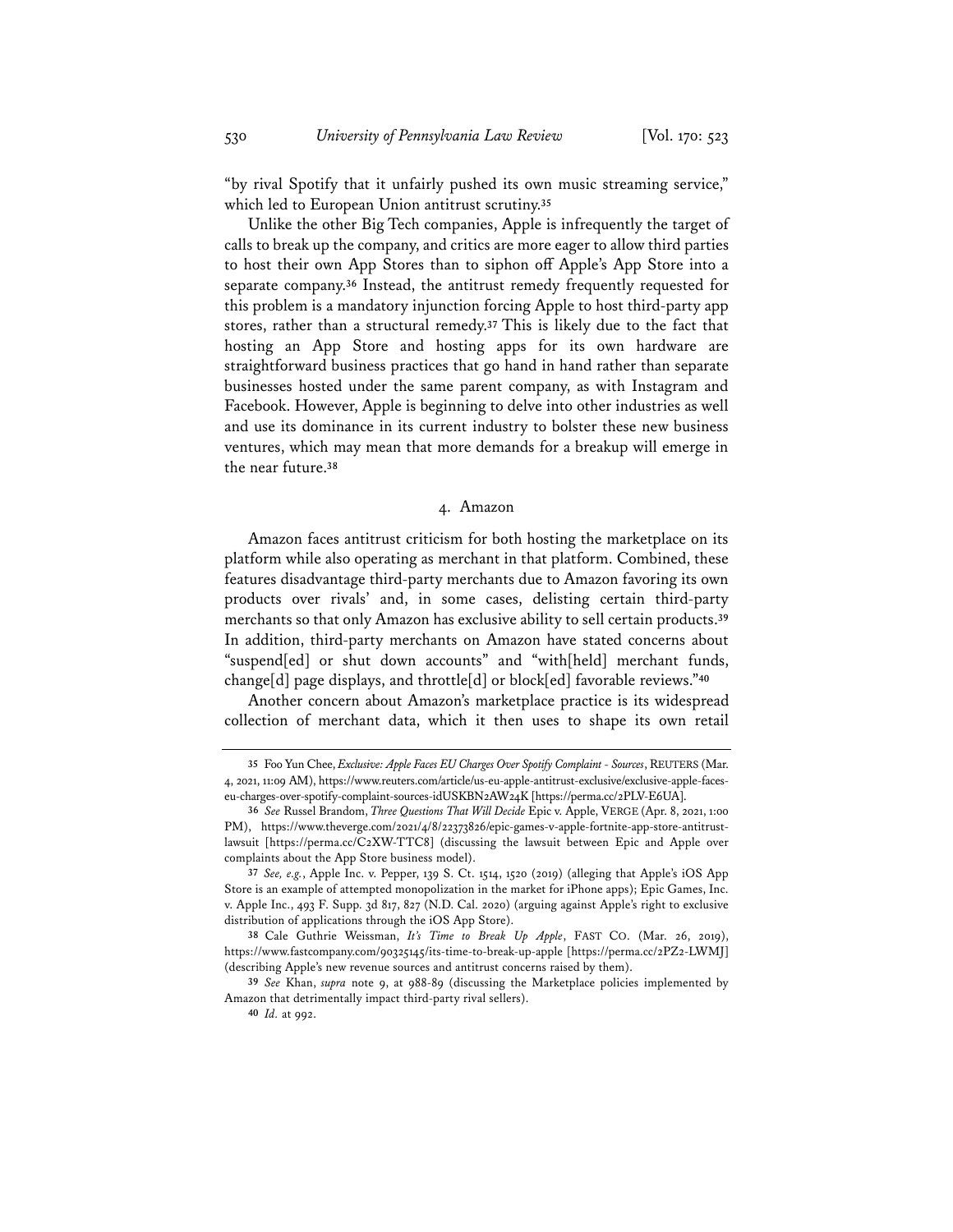"by rival Spotify that it unfairly pushed its own music streaming service," which led to European Union antitrust scrutiny.**<sup>35</sup>**

Unlike the other Big Tech companies, Apple is infrequently the target of calls to break up the company, and critics are more eager to allow third parties to host their own App Stores than to siphon off Apple's App Store into a separate company.**<sup>36</sup>** Instead, the antitrust remedy frequently requested for this problem is a mandatory injunction forcing Apple to host third-party app stores, rather than a structural remedy.**<sup>37</sup>** This is likely due to the fact that hosting an App Store and hosting apps for its own hardware are straightforward business practices that go hand in hand rather than separate businesses hosted under the same parent company, as with Instagram and Facebook. However, Apple is beginning to delve into other industries as well and use its dominance in its current industry to bolster these new business ventures, which may mean that more demands for a breakup will emerge in the near future.**<sup>38</sup>**

#### 4. Amazon

Amazon faces antitrust criticism for both hosting the marketplace on its platform while also operating as merchant in that platform. Combined, these features disadvantage third-party merchants due to Amazon favoring its own products over rivals' and, in some cases, delisting certain third-party merchants so that only Amazon has exclusive ability to sell certain products.**<sup>39</sup>** In addition, third-party merchants on Amazon have stated concerns about "suspend[ed] or shut down accounts" and "with[held] merchant funds, change[d] page displays, and throttle[d] or block[ed] favorable reviews."**<sup>40</sup>**

Another concern about Amazon's marketplace practice is its widespread collection of merchant data, which it then uses to shape its own retail

**<sup>35</sup>** Foo Yun Chee, *Exclusive: Apple Faces EU Charges Over Spotify Complaint - Sources*, REUTERS (Mar. 4, 2021, 11:09 AM), https://www.reuters.com/article/us-eu-apple-antitrust-exclusive/exclusive-apple-faceseu-charges-over-spotify-complaint-sources-idUSKBN2AW24K [https://perma.cc/2PLV-E6UA].

**<sup>36</sup>** *See* Russel Brandom, *Three Questions That Will Decide* Epic v. Apple, VERGE (Apr. 8, 2021, 1:00 PM), https://www.theverge.com/2021/4/8/22373826/epic-games-v-apple-fortnite-app-store-antitrustlawsuit [https://perma.cc/C2XW-TTC8] (discussing the lawsuit between Epic and Apple over complaints about the App Store business model).

**<sup>37</sup>** *See, e.g.*, Apple Inc. v. Pepper, 139 S. Ct. 1514, 1520 (2019) (alleging that Apple's iOS App Store is an example of attempted monopolization in the market for iPhone apps); Epic Games, Inc. v. Apple Inc., 493 F. Supp. 3d 817, 827 (N.D. Cal. 2020) (arguing against Apple's right to exclusive distribution of applications through the iOS App Store).

**<sup>38</sup>** Cale Guthrie Weissman, *It's Time to Break Up Apple*, FAST CO. (Mar. 26, 2019), https://www.fastcompany.com/90325145/its-time-to-break-up-apple [https://perma.cc/2PZ2-LWMJ] (describing Apple's new revenue sources and antitrust concerns raised by them).

**<sup>39</sup>** *See* Khan, *supra* note 9, at 988-89 (discussing the Marketplace policies implemented by Amazon that detrimentally impact third-party rival sellers).

**<sup>40</sup>** *Id.* at 992.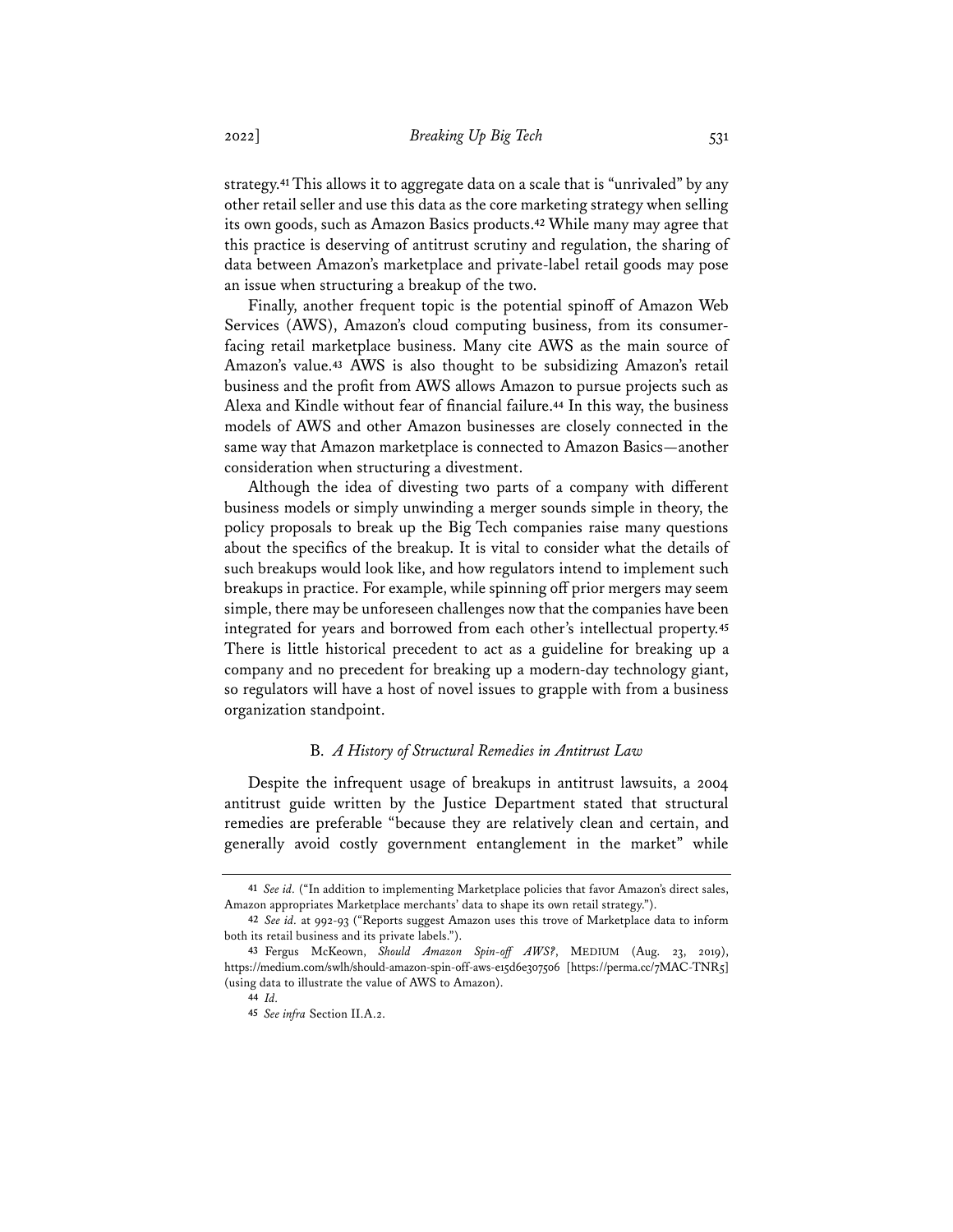strategy.**<sup>41</sup>** This allows it to aggregate data on a scale that is "unrivaled" by any other retail seller and use this data as the core marketing strategy when selling its own goods, such as Amazon Basics products.**<sup>42</sup>** While many may agree that this practice is deserving of antitrust scrutiny and regulation, the sharing of data between Amazon's marketplace and private-label retail goods may pose an issue when structuring a breakup of the two.

Finally, another frequent topic is the potential spinoff of Amazon Web Services (AWS), Amazon's cloud computing business, from its consumerfacing retail marketplace business. Many cite AWS as the main source of Amazon's value.**<sup>43</sup>** AWS is also thought to be subsidizing Amazon's retail business and the profit from AWS allows Amazon to pursue projects such as Alexa and Kindle without fear of financial failure.**<sup>44</sup>** In this way, the business models of AWS and other Amazon businesses are closely connected in the same way that Amazon marketplace is connected to Amazon Basics—another consideration when structuring a divestment.

Although the idea of divesting two parts of a company with different business models or simply unwinding a merger sounds simple in theory, the policy proposals to break up the Big Tech companies raise many questions about the specifics of the breakup. It is vital to consider what the details of such breakups would look like, and how regulators intend to implement such breakups in practice. For example, while spinning off prior mergers may seem simple, there may be unforeseen challenges now that the companies have been integrated for years and borrowed from each other's intellectual property.**<sup>45</sup>** There is little historical precedent to act as a guideline for breaking up a company and no precedent for breaking up a modern-day technology giant, so regulators will have a host of novel issues to grapple with from a business organization standpoint.

## B. *A History of Structural Remedies in Antitrust Law*

Despite the infrequent usage of breakups in antitrust lawsuits, a 2004 antitrust guide written by the Justice Department stated that structural remedies are preferable "because they are relatively clean and certain, and generally avoid costly government entanglement in the market" while

**<sup>41</sup>** *See id.* ("In addition to implementing Marketplace policies that favor Amazon's direct sales, Amazon appropriates Marketplace merchants' data to shape its own retail strategy.").

**<sup>42</sup>** *See id.* at 992-93 ("Reports suggest Amazon uses this trove of Marketplace data to inform both its retail business and its private labels.").

**<sup>43</sup>** Fergus McKeown, *Should Amazon Spin-off AWS?*, MEDIUM (Aug. 23, 2019), https://medium.com/swlh/should-amazon-spin-off-aws-e15d6e307506 [https://perma.cc/7MAC-TNR5] (using data to illustrate the value of AWS to Amazon).

**<sup>44</sup>** *Id.*

**<sup>45</sup>** *See infra* Section II.A.2.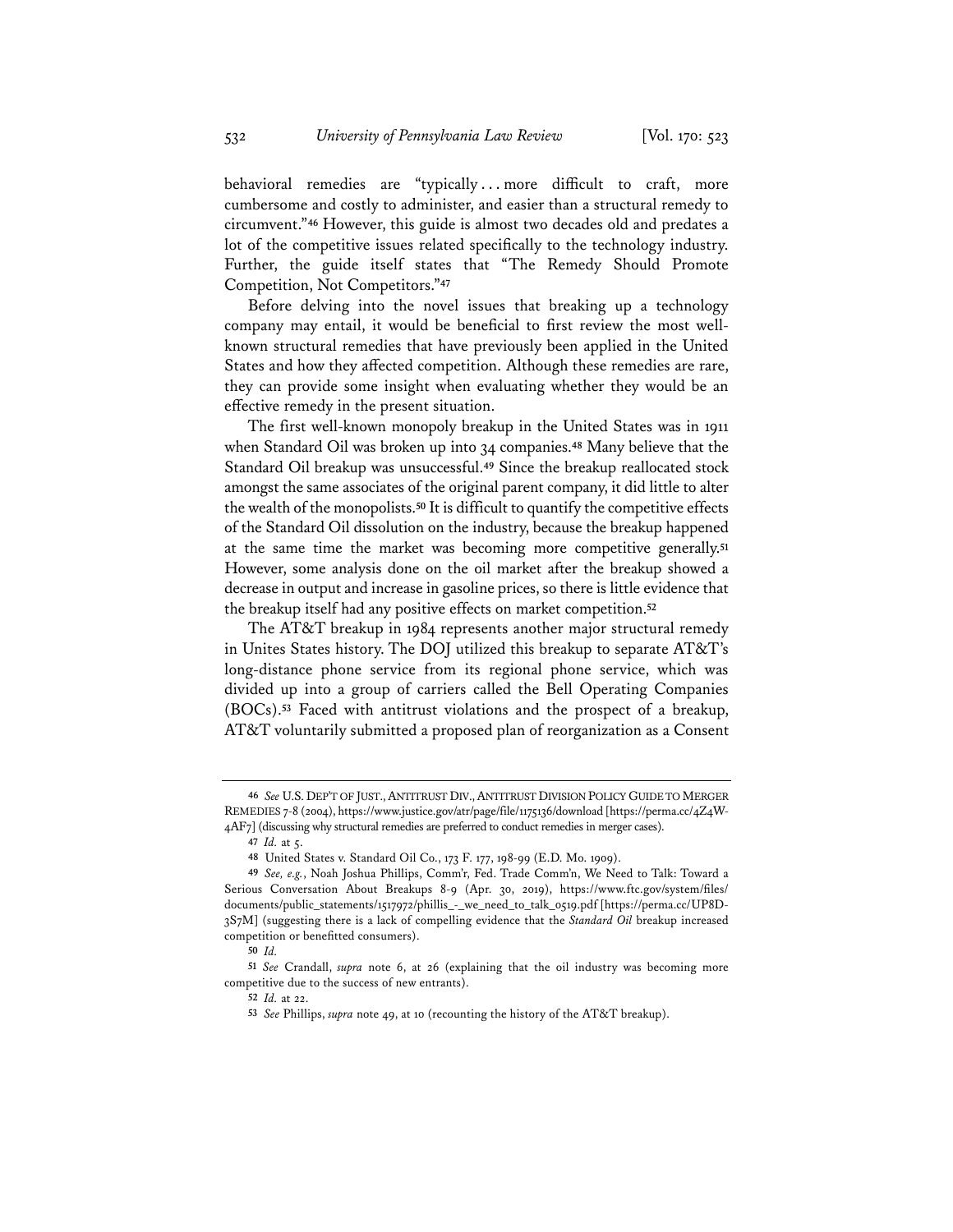behavioral remedies are "typically...more difficult to craft, more cumbersome and costly to administer, and easier than a structural remedy to circumvent."**<sup>46</sup>** However, this guide is almost two decades old and predates a lot of the competitive issues related specifically to the technology industry. Further, the guide itself states that "The Remedy Should Promote Competition, Not Competitors."**<sup>47</sup>**

Before delving into the novel issues that breaking up a technology company may entail, it would be beneficial to first review the most wellknown structural remedies that have previously been applied in the United States and how they affected competition. Although these remedies are rare, they can provide some insight when evaluating whether they would be an effective remedy in the present situation.

The first well-known monopoly breakup in the United States was in 1911 when Standard Oil was broken up into 34 companies.**<sup>48</sup>** Many believe that the Standard Oil breakup was unsuccessful.**<sup>49</sup>** Since the breakup reallocated stock amongst the same associates of the original parent company, it did little to alter the wealth of the monopolists.**<sup>50</sup>** It is difficult to quantify the competitive effects of the Standard Oil dissolution on the industry, because the breakup happened at the same time the market was becoming more competitive generally.**<sup>51</sup>** However, some analysis done on the oil market after the breakup showed a decrease in output and increase in gasoline prices, so there is little evidence that the breakup itself had any positive effects on market competition.**<sup>52</sup>**

The AT&T breakup in 1984 represents another major structural remedy in Unites States history. The DOJ utilized this breakup to separate AT&T's long-distance phone service from its regional phone service, which was divided up into a group of carriers called the Bell Operating Companies (BOCs).**<sup>53</sup>** Faced with antitrust violations and the prospect of a breakup, AT&T voluntarily submitted a proposed plan of reorganization as a Consent

**<sup>46</sup>** *See* U.S. DEP'T OF JUST.,ANTITRUST DIV.,ANTITRUST DIVISION POLICY GUIDE TO MERGER REMEDIES 7-8 (2004), https://www.justice.gov/atr/page/file/1175136/download [https://perma.cc/4Z4W-4AF7] (discussing why structural remedies are preferred to conduct remedies in merger cases).

**<sup>47</sup>** *Id.* at 5.

**<sup>48</sup>** United States v. Standard Oil Co., 173 F. 177, 198-99 (E.D. Mo. 1909).

**<sup>49</sup>** *See, e.g.*, Noah Joshua Phillips, Comm'r, Fed. Trade Comm'n, We Need to Talk: Toward a Serious Conversation About Breakups 8-9 (Apr. 30, 2019), https://www.ftc.gov/system/files/ documents/public\_statements/1517972/phillis\_-\_we\_need\_to\_talk\_0519.pdf [https://perma.cc/UP8D-3S7M] (suggesting there is a lack of compelling evidence that the *Standard Oil* breakup increased competition or benefitted consumers).

**<sup>50</sup>** *Id.*

**<sup>51</sup>** *See* Crandall, *supra* note 6, at 26 (explaining that the oil industry was becoming more competitive due to the success of new entrants).

**<sup>52</sup>** *Id.* at 22.

**<sup>53</sup>** *See* Phillips, *supra* note 49, at 10 (recounting the history of the AT&T breakup).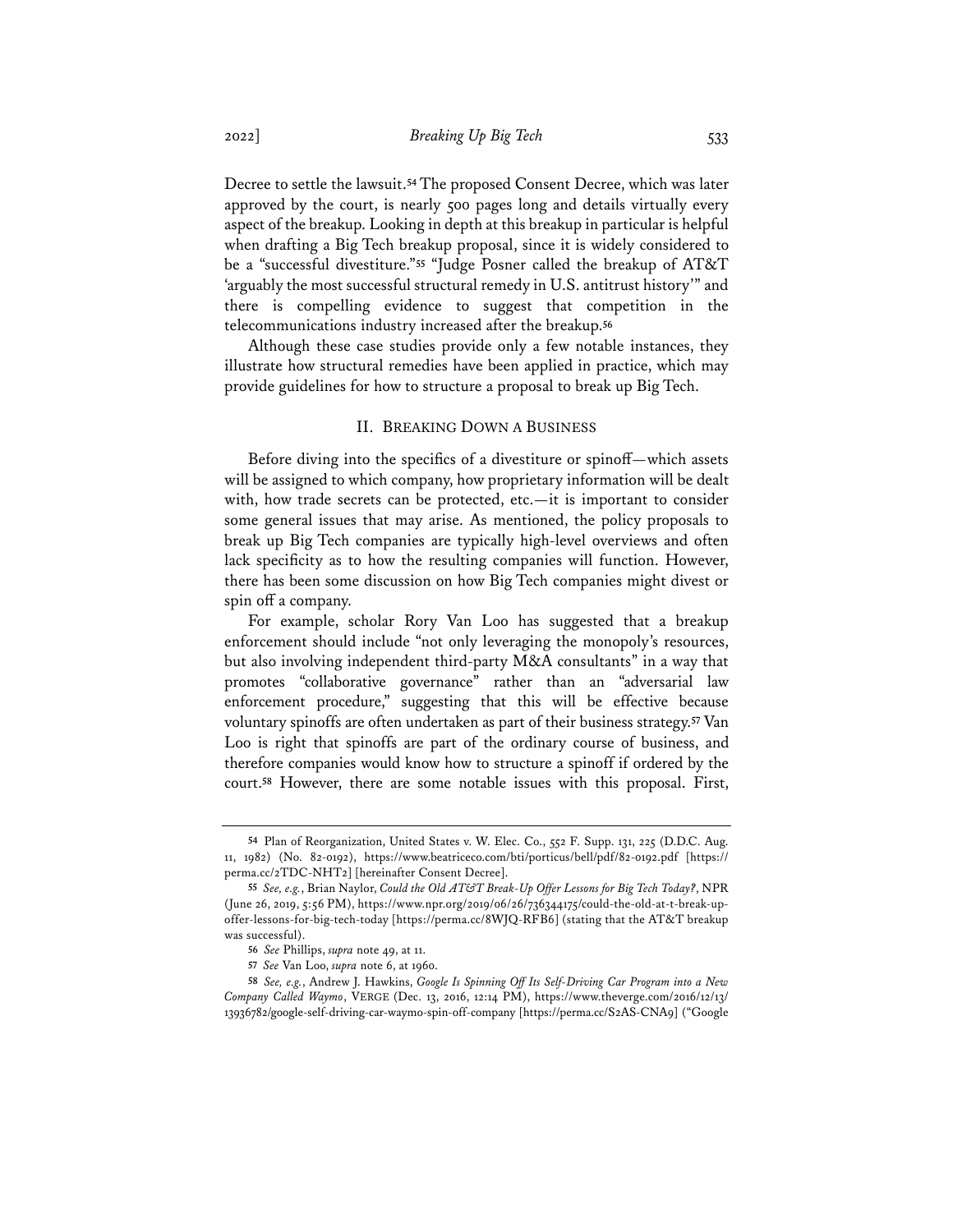Decree to settle the lawsuit.**<sup>54</sup>** The proposed Consent Decree, which was later approved by the court, is nearly 500 pages long and details virtually every aspect of the breakup. Looking in depth at this breakup in particular is helpful when drafting a Big Tech breakup proposal, since it is widely considered to be a "successful divestiture."**<sup>55</sup>** "Judge Posner called the breakup of AT&T 'arguably the most successful structural remedy in U.S. antitrust history'" and there is compelling evidence to suggest that competition in the telecommunications industry increased after the breakup.**<sup>56</sup>**

Although these case studies provide only a few notable instances, they illustrate how structural remedies have been applied in practice, which may provide guidelines for how to structure a proposal to break up Big Tech.

# II. BREAKING DOWN A BUSINESS

Before diving into the specifics of a divestiture or spinoff—which assets will be assigned to which company, how proprietary information will be dealt with, how trade secrets can be protected, etc.—it is important to consider some general issues that may arise. As mentioned, the policy proposals to break up Big Tech companies are typically high-level overviews and often lack specificity as to how the resulting companies will function. However, there has been some discussion on how Big Tech companies might divest or spin off a company.

For example, scholar Rory Van Loo has suggested that a breakup enforcement should include "not only leveraging the monopoly's resources, but also involving independent third-party M&A consultants" in a way that promotes "collaborative governance" rather than an "adversarial law enforcement procedure," suggesting that this will be effective because voluntary spinoffs are often undertaken as part of their business strategy.**<sup>57</sup>** Van Loo is right that spinoffs are part of the ordinary course of business, and therefore companies would know how to structure a spinoff if ordered by the court.**<sup>58</sup>** However, there are some notable issues with this proposal. First,

**<sup>54</sup>** Plan of Reorganization, United States v. W. Elec. Co., 552 F. Supp. 131, 225 (D.D.C. Aug. 11, 1982) (No. 82-0192), https://www.beatriceco.com/bti/porticus/bell/pdf/82-0192.pdf [https:// perma.cc/2TDC-NHT2] [hereinafter Consent Decree].

**<sup>55</sup>** *See, e.g.*, Brian Naylor, *Could the Old AT&T Break-Up Offer Lessons for Big Tech Today?*, NPR (June 26, 2019, 5:56 PM), https://www.npr.org/2019/06/26/736344175/could-the-old-at-t-break-upoffer-lessons-for-big-tech-today [https://perma.cc/8WJQ-RFB6] (stating that the AT&T breakup was successful).

**<sup>56</sup>** *See* Phillips, *supra* note 49, at 11.

**<sup>57</sup>** *See* Van Loo, *supra* note 6, at 1960.

**<sup>58</sup>** *See, e.g.*, Andrew J. Hawkins, *Google Is Spinning Off Its Self-Driving Car Program into a New Company Called Waymo*, VERGE (Dec. 13, 2016, 12:14 PM), https://www.theverge.com/2016/12/13/ 13936782/google-self-driving-car-waymo-spin-off-company [https://perma.cc/S2AS-CNA9] ("Google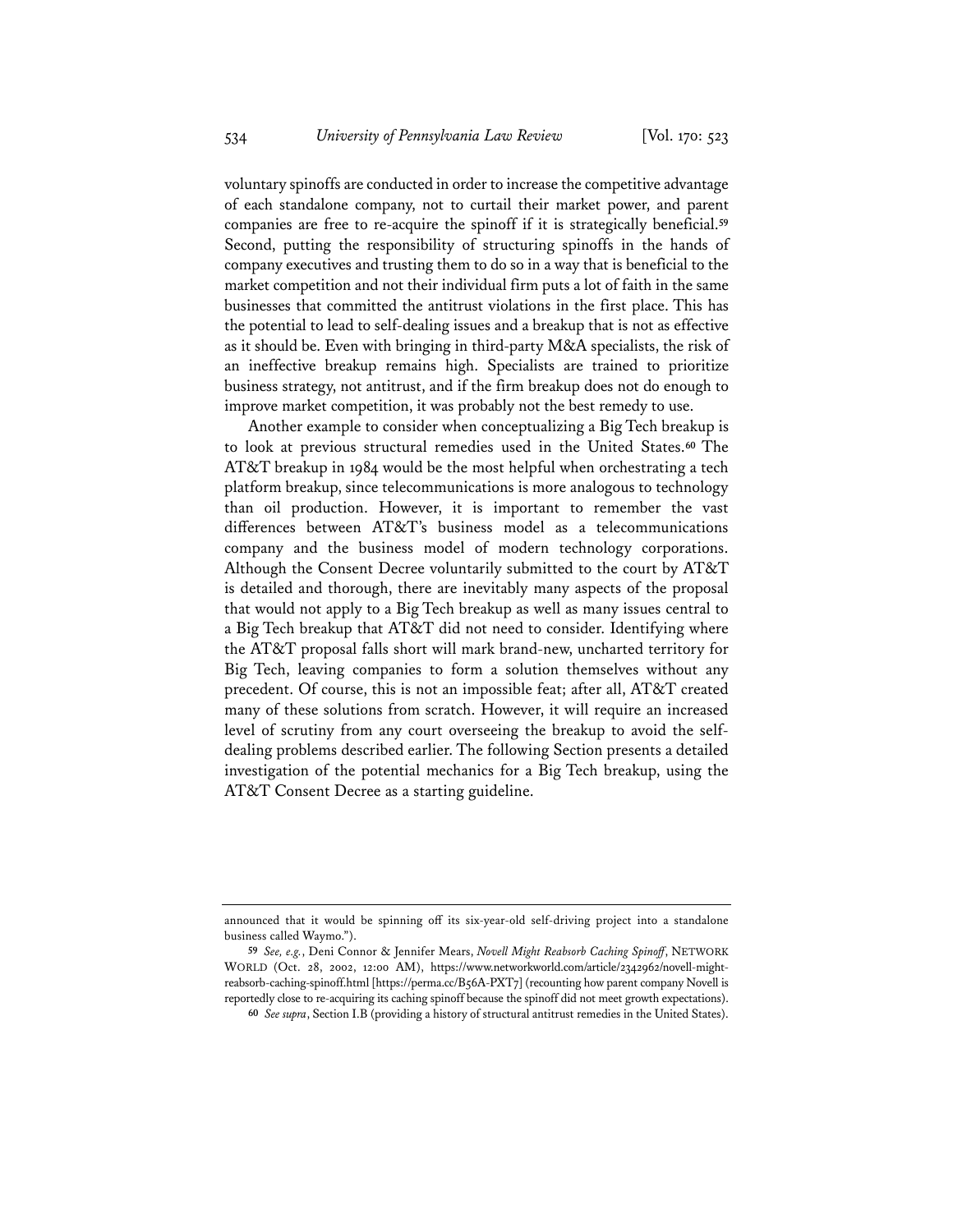voluntary spinoffs are conducted in order to increase the competitive advantage of each standalone company, not to curtail their market power, and parent companies are free to re-acquire the spinoff if it is strategically beneficial.**<sup>59</sup>** Second, putting the responsibility of structuring spinoffs in the hands of company executives and trusting them to do so in a way that is beneficial to the market competition and not their individual firm puts a lot of faith in the same businesses that committed the antitrust violations in the first place. This has the potential to lead to self-dealing issues and a breakup that is not as effective as it should be. Even with bringing in third-party M&A specialists, the risk of an ineffective breakup remains high. Specialists are trained to prioritize business strategy, not antitrust, and if the firm breakup does not do enough to improve market competition, it was probably not the best remedy to use.

Another example to consider when conceptualizing a Big Tech breakup is to look at previous structural remedies used in the United States.**<sup>60</sup>** The AT&T breakup in 1984 would be the most helpful when orchestrating a tech platform breakup, since telecommunications is more analogous to technology than oil production. However, it is important to remember the vast differences between AT&T's business model as a telecommunications company and the business model of modern technology corporations. Although the Consent Decree voluntarily submitted to the court by AT&T is detailed and thorough, there are inevitably many aspects of the proposal that would not apply to a Big Tech breakup as well as many issues central to a Big Tech breakup that AT&T did not need to consider. Identifying where the AT&T proposal falls short will mark brand-new, uncharted territory for Big Tech, leaving companies to form a solution themselves without any precedent. Of course, this is not an impossible feat; after all, AT&T created many of these solutions from scratch. However, it will require an increased level of scrutiny from any court overseeing the breakup to avoid the selfdealing problems described earlier. The following Section presents a detailed investigation of the potential mechanics for a Big Tech breakup, using the AT&T Consent Decree as a starting guideline.

announced that it would be spinning off its six-year-old self-driving project into a standalone business called Waymo.").

**<sup>59</sup>** *See, e.g.*, Deni Connor & Jennifer Mears, *Novell Might Reabsorb Caching Spinoff*, NETWORK WORLD (Oct. 28, 2002, 12:00 AM), https://www.networkworld.com/article/2342962/novell-mightreabsorb-caching-spinoff.html [https://perma.cc/B56A-PXT7] (recounting how parent company Novell is reportedly close to re-acquiring its caching spinoff because the spinoff did not meet growth expectations).

**<sup>60</sup>** *See supra*, Section I.B (providing a history of structural antitrust remedies in the United States).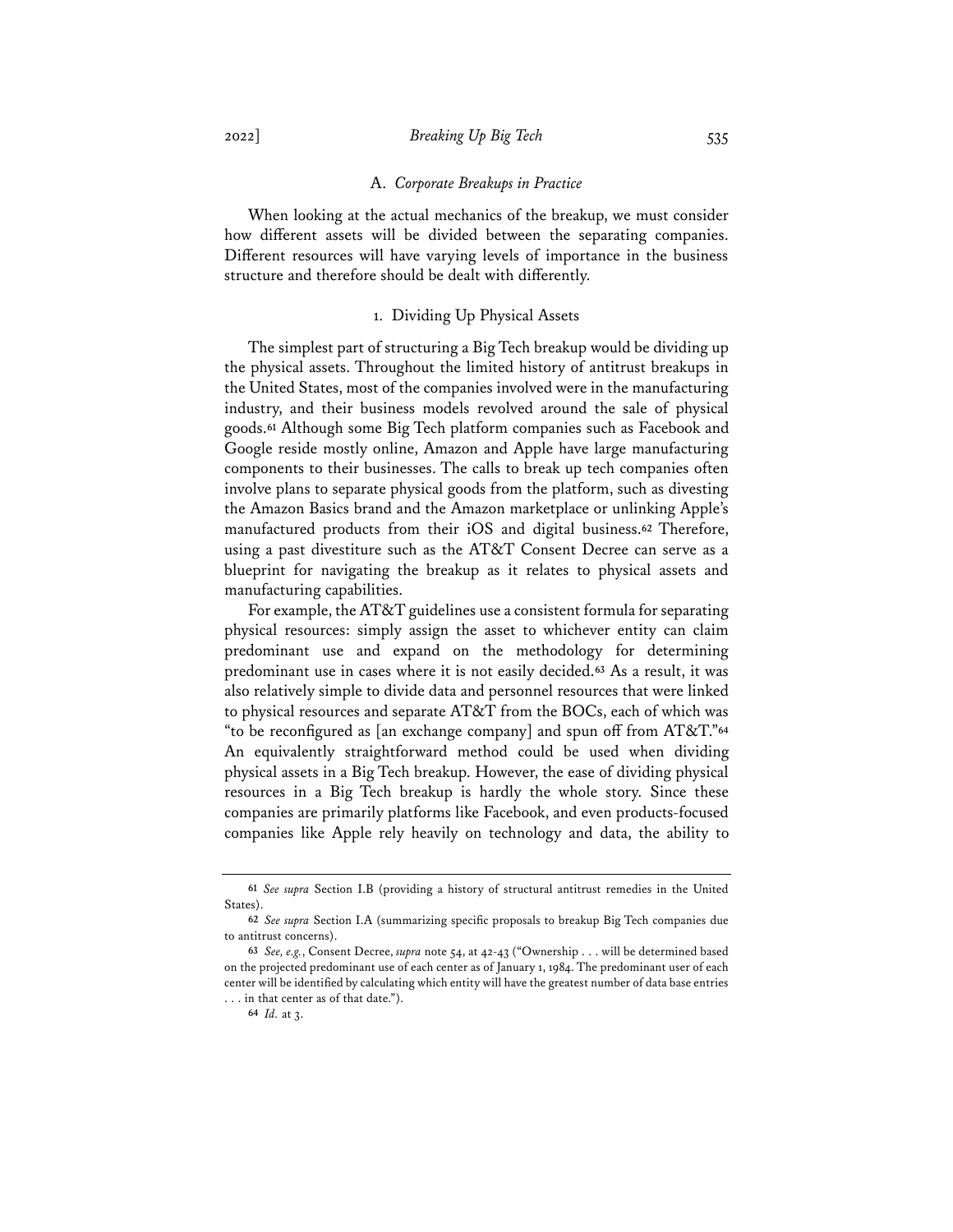#### A. *Corporate Breakups in Practice*

When looking at the actual mechanics of the breakup, we must consider how different assets will be divided between the separating companies. Different resources will have varying levels of importance in the business structure and therefore should be dealt with differently.

# 1. Dividing Up Physical Assets

The simplest part of structuring a Big Tech breakup would be dividing up the physical assets. Throughout the limited history of antitrust breakups in the United States, most of the companies involved were in the manufacturing industry, and their business models revolved around the sale of physical goods.**<sup>61</sup>** Although some Big Tech platform companies such as Facebook and Google reside mostly online, Amazon and Apple have large manufacturing components to their businesses. The calls to break up tech companies often involve plans to separate physical goods from the platform, such as divesting the Amazon Basics brand and the Amazon marketplace or unlinking Apple's manufactured products from their iOS and digital business.**<sup>62</sup>** Therefore, using a past divestiture such as the AT&T Consent Decree can serve as a blueprint for navigating the breakup as it relates to physical assets and manufacturing capabilities.

For example, the AT&T guidelines use a consistent formula for separating physical resources: simply assign the asset to whichever entity can claim predominant use and expand on the methodology for determining predominant use in cases where it is not easily decided.**<sup>63</sup>** As a result, it was also relatively simple to divide data and personnel resources that were linked to physical resources and separate AT&T from the BOCs, each of which was "to be reconfigured as [an exchange company] and spun off from AT&T."**<sup>64</sup>** An equivalently straightforward method could be used when dividing physical assets in a Big Tech breakup. However, the ease of dividing physical resources in a Big Tech breakup is hardly the whole story. Since these companies are primarily platforms like Facebook, and even products-focused companies like Apple rely heavily on technology and data, the ability to

**<sup>61</sup>** *See supra* Section I.B (providing a history of structural antitrust remedies in the United States).

**<sup>62</sup>** *See supra* Section I.A (summarizing specific proposals to breakup Big Tech companies due to antitrust concerns).

**<sup>63</sup>** *See, e.g.*, Consent Decree, *supra* note 54, at 42-43 ("Ownership . . . will be determined based on the projected predominant use of each center as of January 1, 1984. The predominant user of each center will be identified by calculating which entity will have the greatest number of data base entries

<sup>.</sup> . . in that center as of that date.").

**<sup>64</sup>** *Id.* at 3.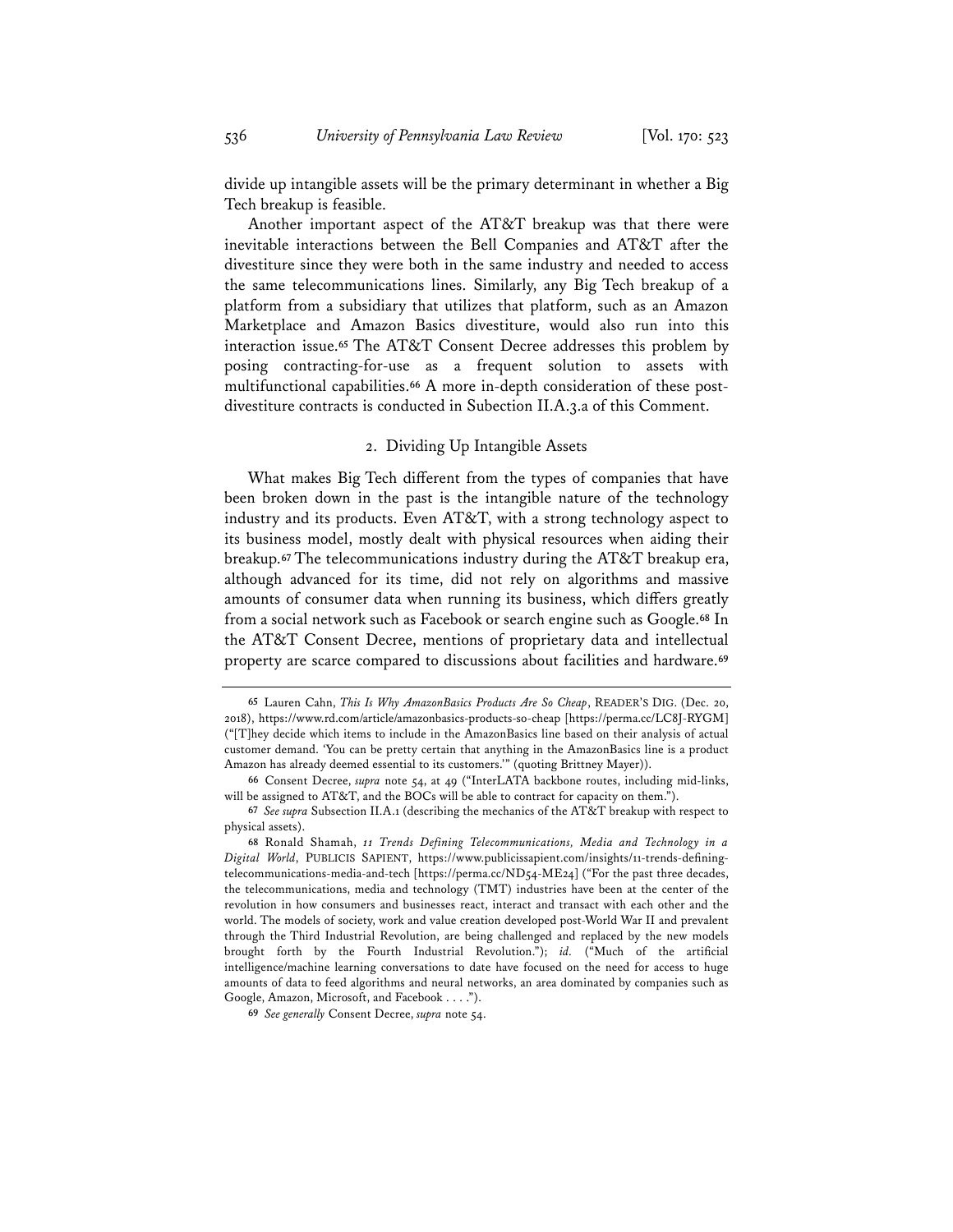divide up intangible assets will be the primary determinant in whether a Big Tech breakup is feasible.

Another important aspect of the AT&T breakup was that there were inevitable interactions between the Bell Companies and AT&T after the divestiture since they were both in the same industry and needed to access the same telecommunications lines. Similarly, any Big Tech breakup of a platform from a subsidiary that utilizes that platform, such as an Amazon Marketplace and Amazon Basics divestiture, would also run into this interaction issue.**<sup>65</sup>** The AT&T Consent Decree addresses this problem by posing contracting-for-use as a frequent solution to assets with multifunctional capabilities.**<sup>66</sup>** A more in-depth consideration of these postdivestiture contracts is conducted in Subection II.A.3.a of this Comment.

#### 2. Dividing Up Intangible Assets

What makes Big Tech different from the types of companies that have been broken down in the past is the intangible nature of the technology industry and its products. Even AT&T, with a strong technology aspect to its business model, mostly dealt with physical resources when aiding their breakup.**<sup>67</sup>** The telecommunications industry during the AT&T breakup era, although advanced for its time, did not rely on algorithms and massive amounts of consumer data when running its business, which differs greatly from a social network such as Facebook or search engine such as Google.**<sup>68</sup>** In the AT&T Consent Decree, mentions of proprietary data and intellectual property are scarce compared to discussions about facilities and hardware.**<sup>69</sup>**

**69** *See generally* Consent Decree, *supra* note 54.

**<sup>65</sup>** Lauren Cahn, *This Is Why AmazonBasics Products Are So Cheap*, READER'S DIG. (Dec. 20, 2018), https://www.rd.com/article/amazonbasics-products-so-cheap [https://perma.cc/LC8J-RYGM] ("[T]hey decide which items to include in the AmazonBasics line based on their analysis of actual customer demand. 'You can be pretty certain that anything in the AmazonBasics line is a product Amazon has already deemed essential to its customers.'" (quoting Brittney Mayer)).

**<sup>66</sup>** Consent Decree, *supra* note 54, at 49 ("InterLATA backbone routes, including mid-links, will be assigned to AT&T, and the BOCs will be able to contract for capacity on them.").

**<sup>67</sup>** *See supra* Subsection II.A.1 (describing the mechanics of the AT&T breakup with respect to physical assets).

**<sup>68</sup>** Ronald Shamah, *11 Trends Defining Telecommunications, Media and Technology in a Digital World*, PUBLICIS SAPIENT, https://www.publicissapient.com/insights/11-trends-definingtelecommunications-media-and-tech [https://perma.cc/ND54-ME24] ("For the past three decades, the telecommunications, media and technology (TMT) industries have been at the center of the revolution in how consumers and businesses react, interact and transact with each other and the world. The models of society, work and value creation developed post-World War II and prevalent through the Third Industrial Revolution, are being challenged and replaced by the new models brought forth by the Fourth Industrial Revolution."); *id.* ("Much of the artificial intelligence/machine learning conversations to date have focused on the need for access to huge amounts of data to feed algorithms and neural networks, an area dominated by companies such as Google, Amazon, Microsoft, and Facebook . . . .").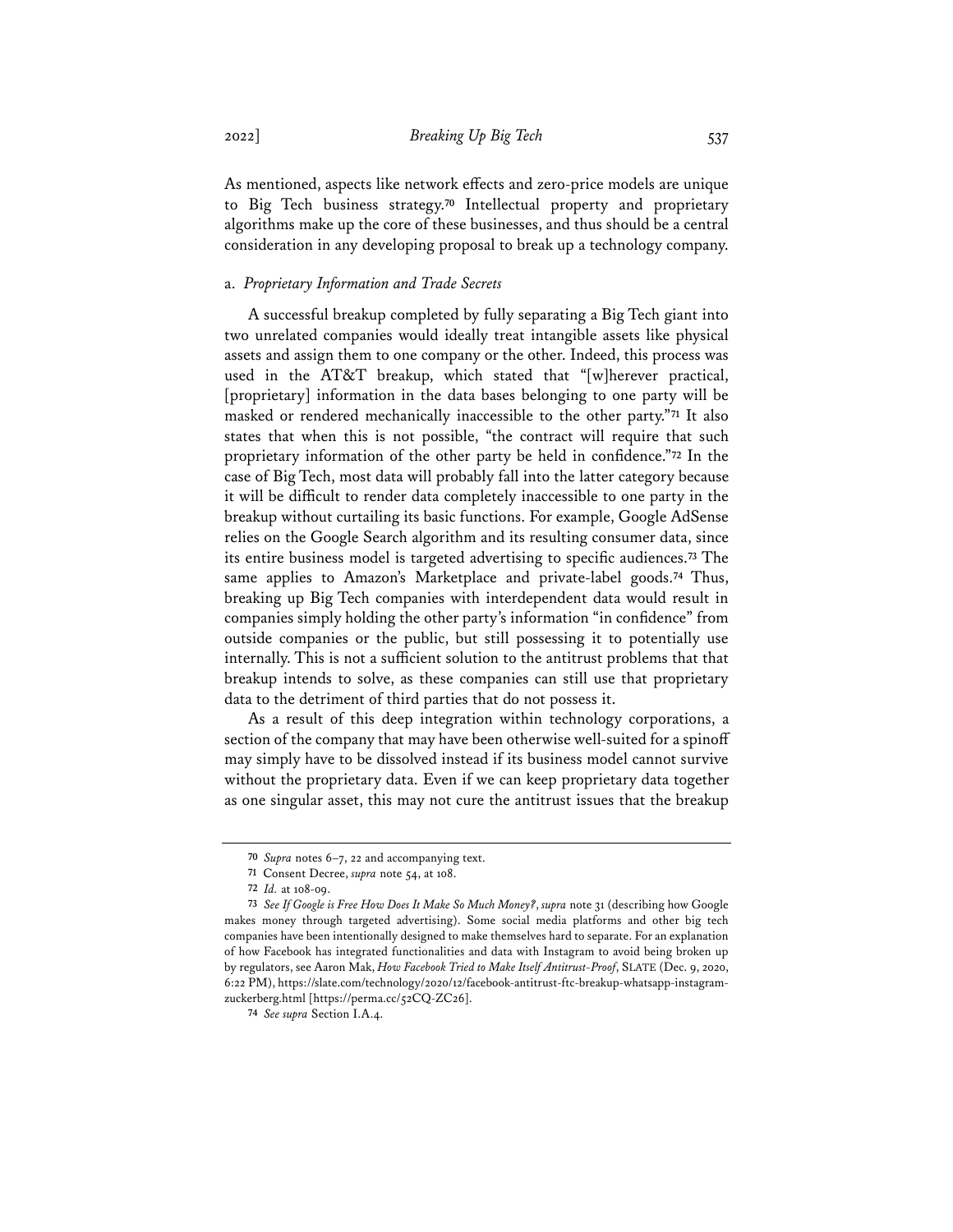As mentioned, aspects like network effects and zero-price models are unique to Big Tech business strategy.**<sup>70</sup>** Intellectual property and proprietary algorithms make up the core of these businesses, and thus should be a central consideration in any developing proposal to break up a technology company.

# a. *Proprietary Information and Trade Secrets*

A successful breakup completed by fully separating a Big Tech giant into two unrelated companies would ideally treat intangible assets like physical assets and assign them to one company or the other. Indeed, this process was used in the AT&T breakup, which stated that "[w]herever practical, [proprietary] information in the data bases belonging to one party will be masked or rendered mechanically inaccessible to the other party."**<sup>71</sup>** It also states that when this is not possible, "the contract will require that such proprietary information of the other party be held in confidence."**<sup>72</sup>** In the case of Big Tech, most data will probably fall into the latter category because it will be difficult to render data completely inaccessible to one party in the breakup without curtailing its basic functions. For example, Google AdSense relies on the Google Search algorithm and its resulting consumer data, since its entire business model is targeted advertising to specific audiences.**<sup>73</sup>** The same applies to Amazon's Marketplace and private-label goods.**<sup>74</sup>** Thus, breaking up Big Tech companies with interdependent data would result in companies simply holding the other party's information "in confidence" from outside companies or the public, but still possessing it to potentially use internally. This is not a sufficient solution to the antitrust problems that that breakup intends to solve, as these companies can still use that proprietary data to the detriment of third parties that do not possess it.

As a result of this deep integration within technology corporations, a section of the company that may have been otherwise well-suited for a spinoff may simply have to be dissolved instead if its business model cannot survive without the proprietary data. Even if we can keep proprietary data together as one singular asset, this may not cure the antitrust issues that the breakup

**<sup>70</sup>** *Supra* notes 6–7, 22 and accompanying text.

**<sup>71</sup>** Consent Decree, *supra* note 54, at 108.

**<sup>72</sup>** *Id.* at 108-09.

**<sup>73</sup>** *See If Google is Free How Does It Make So Much Money?*, *supra* note 31 (describing how Google makes money through targeted advertising). Some social media platforms and other big tech companies have been intentionally designed to make themselves hard to separate. For an explanation of how Facebook has integrated functionalities and data with Instagram to avoid being broken up by regulators, see Aaron Mak, *How Facebook Tried to Make Itself Antitrust-Proof*, SLATE (Dec. 9, 2020, 6:22 PM), https://slate.com/technology/2020/12/facebook-antitrust-ftc-breakup-whatsapp-instagramzuckerberg.html [https://perma.cc/52CQ-ZC26].

**<sup>74</sup>** *See supra* Section I.A.4.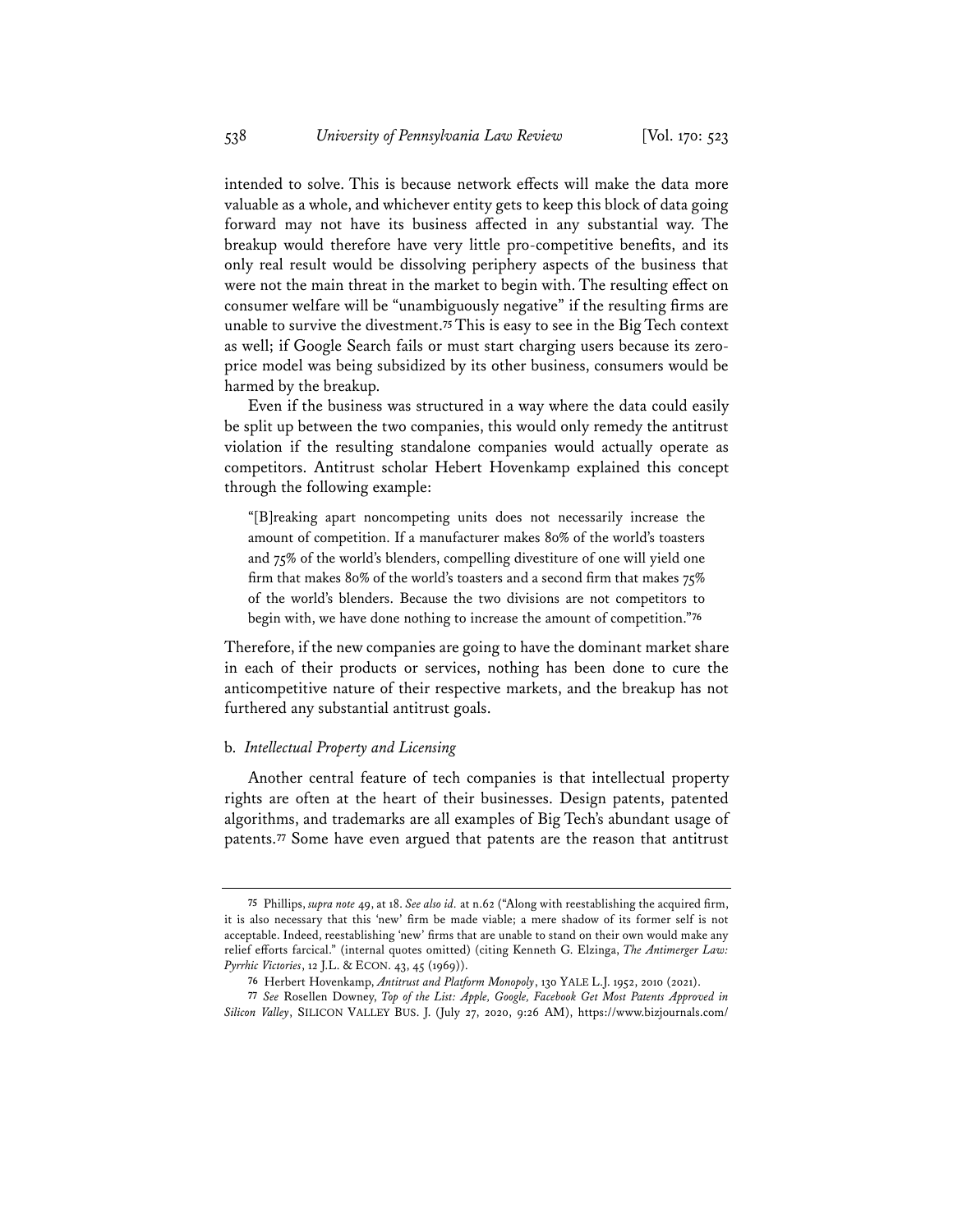intended to solve. This is because network effects will make the data more valuable as a whole, and whichever entity gets to keep this block of data going forward may not have its business affected in any substantial way. The breakup would therefore have very little pro-competitive benefits, and its only real result would be dissolving periphery aspects of the business that were not the main threat in the market to begin with. The resulting effect on consumer welfare will be "unambiguously negative" if the resulting firms are unable to survive the divestment.**<sup>75</sup>** This is easy to see in the Big Tech context as well; if Google Search fails or must start charging users because its zeroprice model was being subsidized by its other business, consumers would be harmed by the breakup.

Even if the business was structured in a way where the data could easily be split up between the two companies, this would only remedy the antitrust violation if the resulting standalone companies would actually operate as competitors. Antitrust scholar Hebert Hovenkamp explained this concept through the following example:

"[B]reaking apart noncompeting units does not necessarily increase the amount of competition. If a manufacturer makes 80% of the world's toasters and 75% of the world's blenders, compelling divestiture of one will yield one firm that makes 80% of the world's toasters and a second firm that makes 75% of the world's blenders. Because the two divisions are not competitors to begin with, we have done nothing to increase the amount of competition."**<sup>76</sup>**

Therefore, if the new companies are going to have the dominant market share in each of their products or services, nothing has been done to cure the anticompetitive nature of their respective markets, and the breakup has not furthered any substantial antitrust goals.

#### b. *Intellectual Property and Licensing*

Another central feature of tech companies is that intellectual property rights are often at the heart of their businesses. Design patents, patented algorithms, and trademarks are all examples of Big Tech's abundant usage of patents.**<sup>77</sup>** Some have even argued that patents are the reason that antitrust

**<sup>75</sup>** Phillips, *supra note* 49, at 18. *See also id.* at n.62 ("Along with reestablishing the acquired firm, it is also necessary that this 'new' firm be made viable; a mere shadow of its former self is not acceptable. Indeed, reestablishing 'new' firms that are unable to stand on their own would make any relief efforts farcical." (internal quotes omitted) (citing Kenneth G. Elzinga, *The Antimerger Law: Pyrrhic Victories*, 12 J.L. & ECON. 43, 45 (1969)).

**<sup>76</sup>** Herbert Hovenkamp, *Antitrust and Platform Monopoly*, 130 YALE L.J. 1952, 2010 (2021).

**<sup>77</sup>** *See* Rosellen Downey, *Top of the List: Apple, Google, Facebook Get Most Patents Approved in Silicon Valley*, SILICON VALLEY BUS. J. (July 27, 2020, 9:26 AM), https://www.bizjournals.com/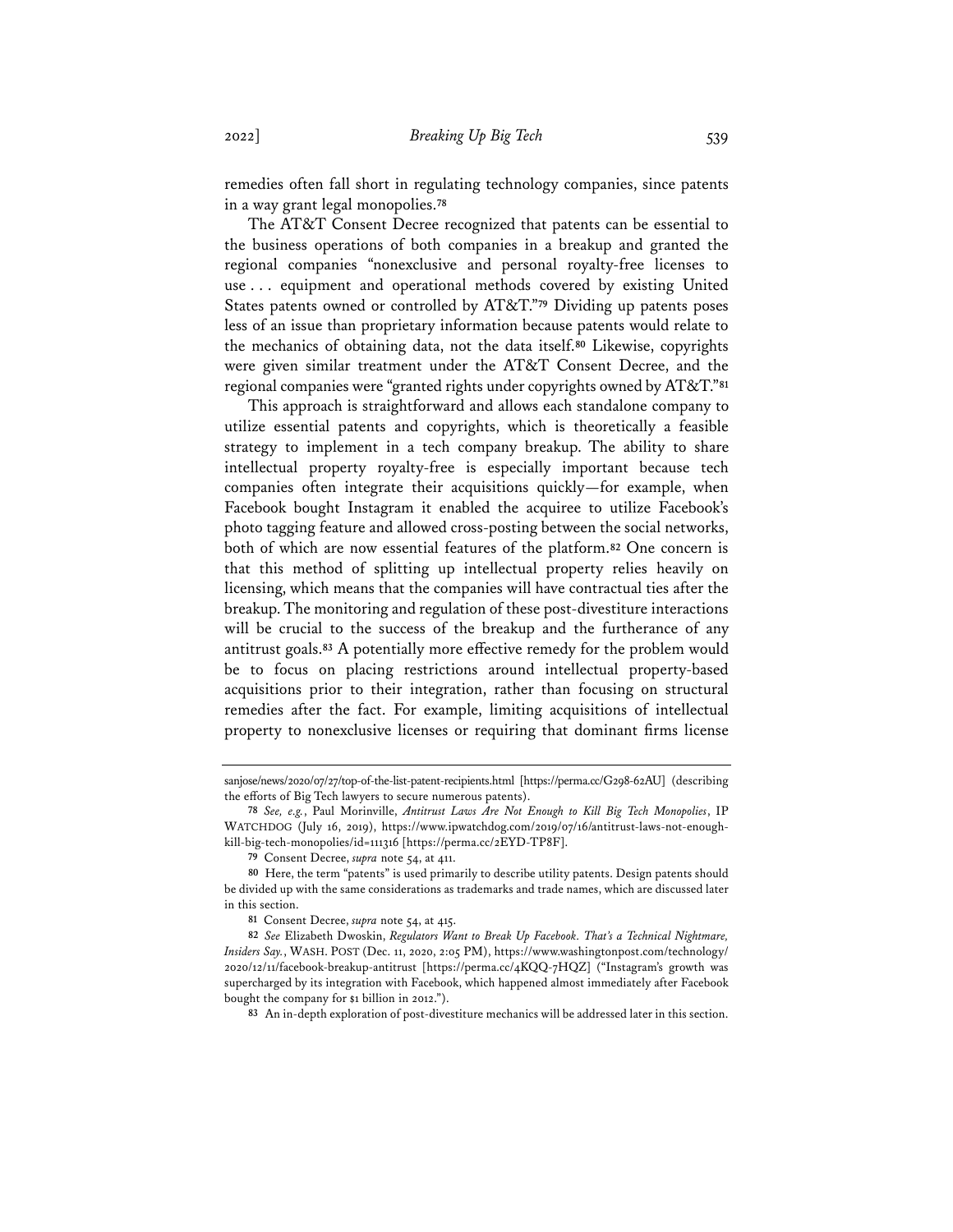remedies often fall short in regulating technology companies, since patents in a way grant legal monopolies.**<sup>78</sup>**

The AT&T Consent Decree recognized that patents can be essential to the business operations of both companies in a breakup and granted the regional companies "nonexclusive and personal royalty-free licenses to use . . . equipment and operational methods covered by existing United States patents owned or controlled by AT&T."**<sup>79</sup>** Dividing up patents poses less of an issue than proprietary information because patents would relate to the mechanics of obtaining data, not the data itself.**<sup>80</sup>** Likewise, copyrights were given similar treatment under the AT&T Consent Decree, and the regional companies were "granted rights under copyrights owned by AT&T."**<sup>81</sup>**

This approach is straightforward and allows each standalone company to utilize essential patents and copyrights, which is theoretically a feasible strategy to implement in a tech company breakup. The ability to share intellectual property royalty-free is especially important because tech companies often integrate their acquisitions quickly—for example, when Facebook bought Instagram it enabled the acquiree to utilize Facebook's photo tagging feature and allowed cross-posting between the social networks, both of which are now essential features of the platform.**<sup>82</sup>** One concern is that this method of splitting up intellectual property relies heavily on licensing, which means that the companies will have contractual ties after the breakup. The monitoring and regulation of these post-divestiture interactions will be crucial to the success of the breakup and the furtherance of any antitrust goals.**<sup>83</sup>** A potentially more effective remedy for the problem would be to focus on placing restrictions around intellectual property-based acquisitions prior to their integration, rather than focusing on structural remedies after the fact. For example, limiting acquisitions of intellectual property to nonexclusive licenses or requiring that dominant firms license

sanjose/news/2020/07/27/top-of-the-list-patent-recipients.html [https://perma.cc/G298-62AU] (describing the efforts of Big Tech lawyers to secure numerous patents).

**<sup>78</sup>** *See, e.g.*, Paul Morinville, *Antitrust Laws Are Not Enough to Kill Big Tech Monopolies*, IP WATCHDOG (July 16, 2019), https://www.ipwatchdog.com/2019/07/16/antitrust-laws-not-enoughkill-big-tech-monopolies/id=111316 [https://perma.cc/2EYD-TP8F].

**<sup>79</sup>** Consent Decree, *supra* note 54, at 411.

**<sup>80</sup>** Here, the term "patents" is used primarily to describe utility patents. Design patents should be divided up with the same considerations as trademarks and trade names, which are discussed later in this section.

**<sup>81</sup>** Consent Decree, *supra* note 54, at 415.

**<sup>82</sup>** *See* Elizabeth Dwoskin, *Regulators Want to Break Up Facebook. That's a Technical Nightmare, Insiders Say.*, WASH. POST (Dec. 11, 2020, 2:05 PM), https://www.washingtonpost.com/technology/ 2020/12/11/facebook-breakup-antitrust [https://perma.cc/4KQQ-7HQZ] ("Instagram's growth was supercharged by its integration with Facebook, which happened almost immediately after Facebook bought the company for \$1 billion in 2012.").

**<sup>83</sup>** An in-depth exploration of post-divestiture mechanics will be addressed later in this section.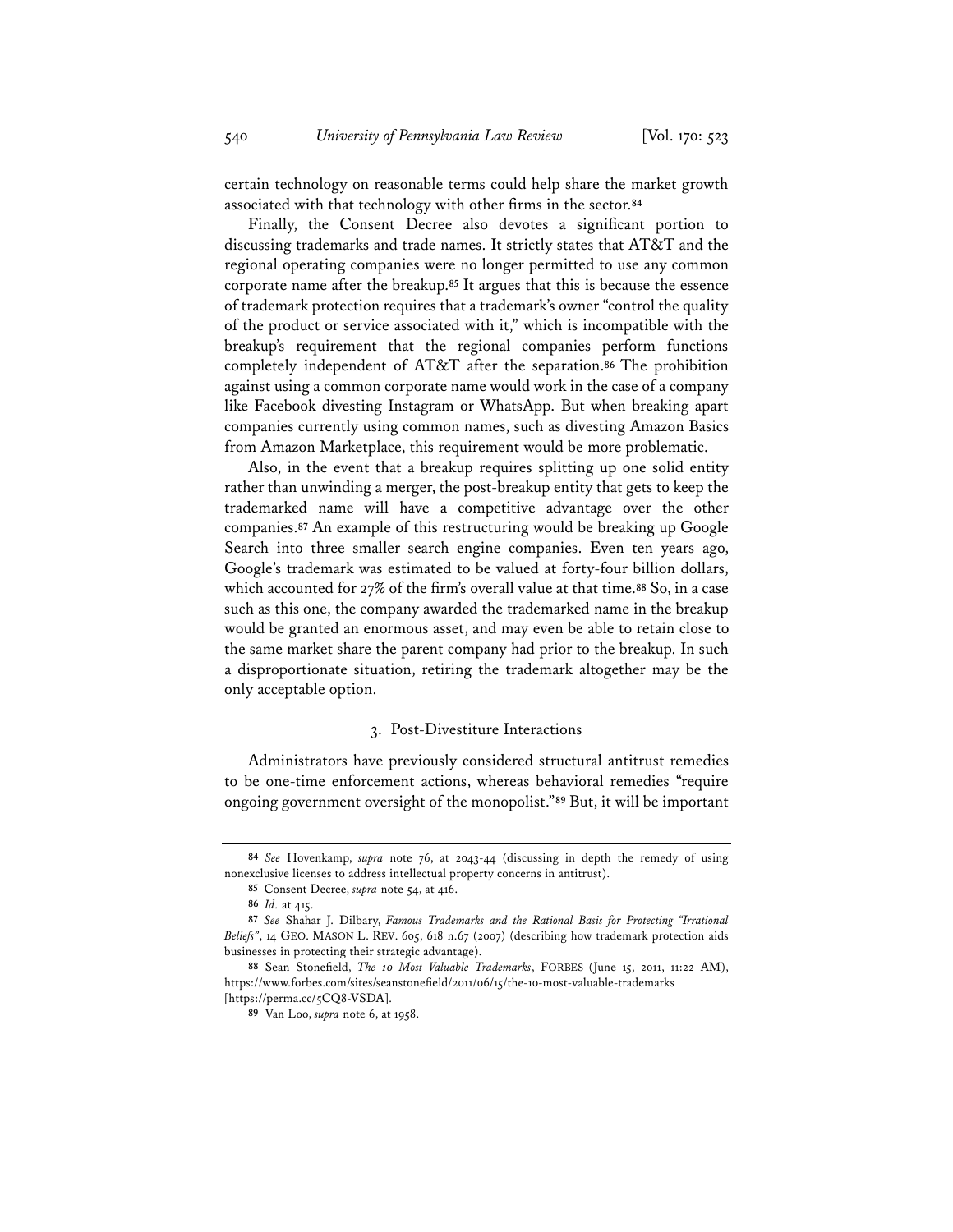certain technology on reasonable terms could help share the market growth associated with that technology with other firms in the sector.**<sup>84</sup>**

Finally, the Consent Decree also devotes a significant portion to discussing trademarks and trade names. It strictly states that AT&T and the regional operating companies were no longer permitted to use any common corporate name after the breakup.**<sup>85</sup>** It argues that this is because the essence of trademark protection requires that a trademark's owner "control the quality of the product or service associated with it," which is incompatible with the breakup's requirement that the regional companies perform functions completely independent of AT&T after the separation.**<sup>86</sup>** The prohibition against using a common corporate name would work in the case of a company like Facebook divesting Instagram or WhatsApp. But when breaking apart companies currently using common names, such as divesting Amazon Basics from Amazon Marketplace, this requirement would be more problematic.

Also, in the event that a breakup requires splitting up one solid entity rather than unwinding a merger, the post-breakup entity that gets to keep the trademarked name will have a competitive advantage over the other companies.**<sup>87</sup>** An example of this restructuring would be breaking up Google Search into three smaller search engine companies. Even ten years ago, Google's trademark was estimated to be valued at forty-four billion dollars, which accounted for 27% of the firm's overall value at that time.**<sup>88</sup>** So, in a case such as this one, the company awarded the trademarked name in the breakup would be granted an enormous asset, and may even be able to retain close to the same market share the parent company had prior to the breakup. In such a disproportionate situation, retiring the trademark altogether may be the only acceptable option.

## 3. Post-Divestiture Interactions

Administrators have previously considered structural antitrust remedies to be one-time enforcement actions, whereas behavioral remedies "require ongoing government oversight of the monopolist."**<sup>89</sup>** But, it will be important

**<sup>84</sup>** *See* Hovenkamp, *supra* note 76, at 2043-44 (discussing in depth the remedy of using nonexclusive licenses to address intellectual property concerns in antitrust).

**<sup>85</sup>** Consent Decree, *supra* note 54, at 416.

**<sup>86</sup>** *Id.* at 415.

**<sup>87</sup>** *See* Shahar J. Dilbary, *Famous Trademarks and the Rational Basis for Protecting "Irrational Beliefs"*, 14 GEO. MASON L. REV. 605, 618 n.67 (2007) (describing how trademark protection aids businesses in protecting their strategic advantage).

**<sup>88</sup>** Sean Stonefield, *The 10 Most Valuable Trademarks*, FORBES (June 15, 2011, 11:22 AM), https://www.forbes.com/sites/seanstonefield/2011/06/15/the-10-most-valuable-trademarks [https://perma.cc/5CQ8-VSDA].

**<sup>89</sup>** Van Loo, *supra* note 6, at 1958.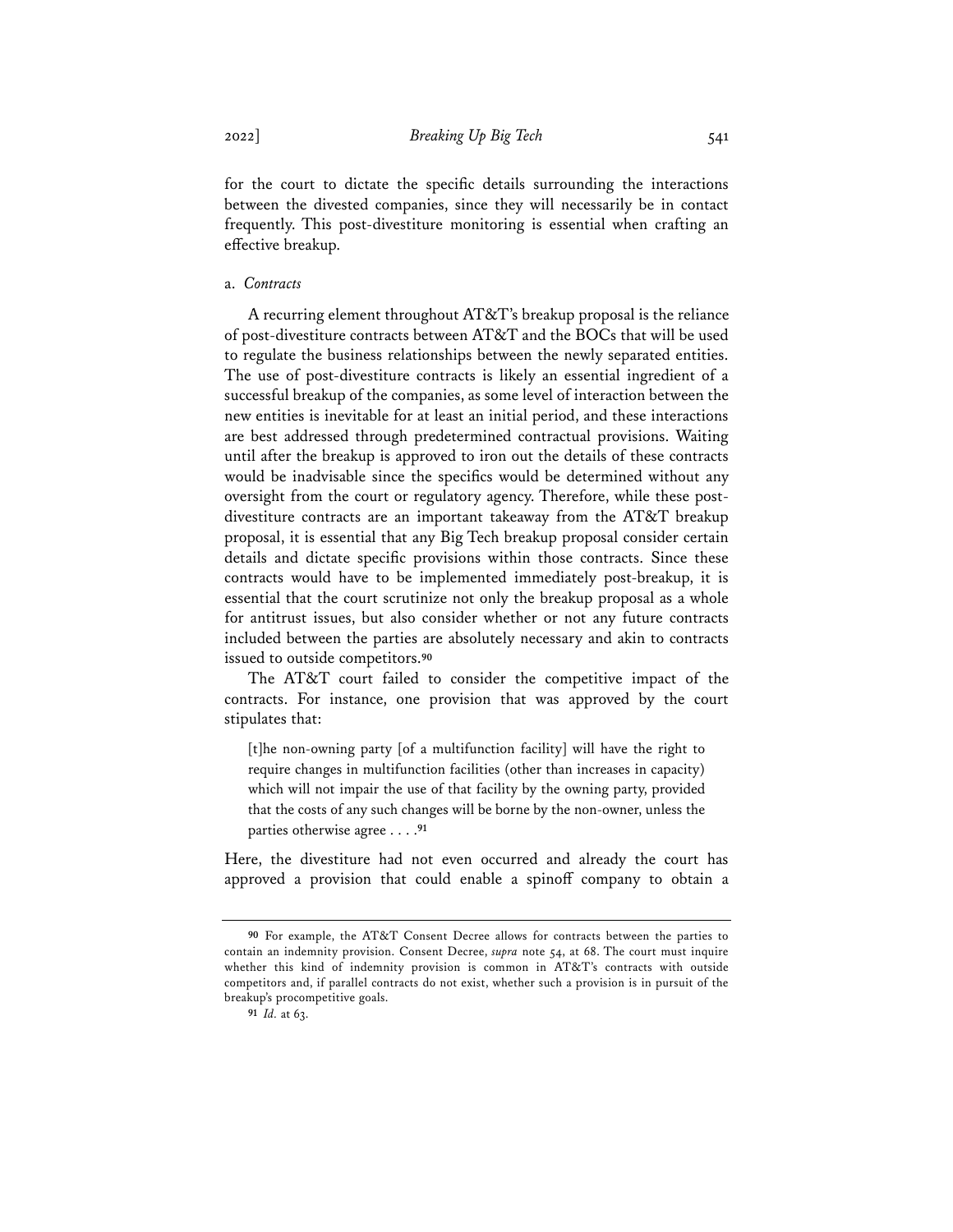for the court to dictate the specific details surrounding the interactions between the divested companies, since they will necessarily be in contact frequently. This post-divestiture monitoring is essential when crafting an effective breakup.

# a. *Contracts*

A recurring element throughout AT&T's breakup proposal is the reliance of post-divestiture contracts between AT&T and the BOCs that will be used to regulate the business relationships between the newly separated entities. The use of post-divestiture contracts is likely an essential ingredient of a successful breakup of the companies, as some level of interaction between the new entities is inevitable for at least an initial period, and these interactions are best addressed through predetermined contractual provisions. Waiting until after the breakup is approved to iron out the details of these contracts would be inadvisable since the specifics would be determined without any oversight from the court or regulatory agency. Therefore, while these postdivestiture contracts are an important takeaway from the AT&T breakup proposal, it is essential that any Big Tech breakup proposal consider certain details and dictate specific provisions within those contracts. Since these contracts would have to be implemented immediately post-breakup, it is essential that the court scrutinize not only the breakup proposal as a whole for antitrust issues, but also consider whether or not any future contracts included between the parties are absolutely necessary and akin to contracts issued to outside competitors.**<sup>90</sup>**

The AT&T court failed to consider the competitive impact of the contracts. For instance, one provision that was approved by the court stipulates that:

[t]he non-owning party [of a multifunction facility] will have the right to require changes in multifunction facilities (other than increases in capacity) which will not impair the use of that facility by the owning party, provided that the costs of any such changes will be borne by the non-owner, unless the parties otherwise agree . . . .**<sup>91</sup>**

Here, the divestiture had not even occurred and already the court has approved a provision that could enable a spinoff company to obtain a

**<sup>90</sup>** For example, the AT&T Consent Decree allows for contracts between the parties to contain an indemnity provision. Consent Decree, *supra* note 54, at 68. The court must inquire whether this kind of indemnity provision is common in AT&T's contracts with outside competitors and, if parallel contracts do not exist, whether such a provision is in pursuit of the breakup's procompetitive goals.

**<sup>91</sup>** *Id.* at 63.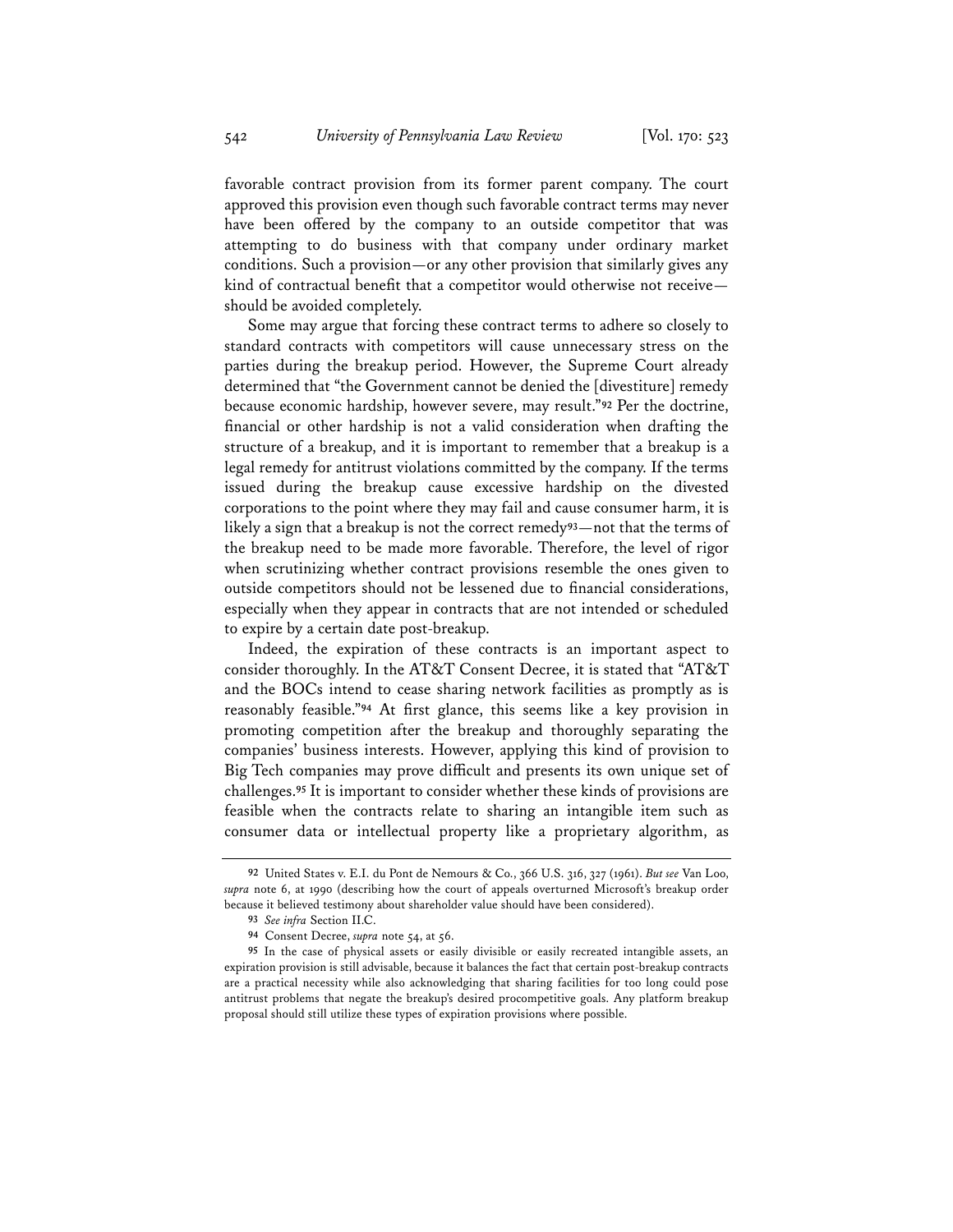favorable contract provision from its former parent company. The court approved this provision even though such favorable contract terms may never have been offered by the company to an outside competitor that was attempting to do business with that company under ordinary market conditions. Such a provision—or any other provision that similarly gives any kind of contractual benefit that a competitor would otherwise not receive should be avoided completely.

Some may argue that forcing these contract terms to adhere so closely to standard contracts with competitors will cause unnecessary stress on the parties during the breakup period. However, the Supreme Court already determined that "the Government cannot be denied the [divestiture] remedy because economic hardship, however severe, may result."**<sup>92</sup>** Per the doctrine, financial or other hardship is not a valid consideration when drafting the structure of a breakup, and it is important to remember that a breakup is a legal remedy for antitrust violations committed by the company. If the terms issued during the breakup cause excessive hardship on the divested corporations to the point where they may fail and cause consumer harm, it is likely a sign that a breakup is not the correct remedy**93**—not that the terms of the breakup need to be made more favorable. Therefore, the level of rigor when scrutinizing whether contract provisions resemble the ones given to outside competitors should not be lessened due to financial considerations, especially when they appear in contracts that are not intended or scheduled to expire by a certain date post-breakup.

Indeed, the expiration of these contracts is an important aspect to consider thoroughly. In the AT&T Consent Decree, it is stated that "AT&T and the BOCs intend to cease sharing network facilities as promptly as is reasonably feasible."**<sup>94</sup>** At first glance, this seems like a key provision in promoting competition after the breakup and thoroughly separating the companies' business interests. However, applying this kind of provision to Big Tech companies may prove difficult and presents its own unique set of challenges.**<sup>95</sup>** It is important to consider whether these kinds of provisions are feasible when the contracts relate to sharing an intangible item such as consumer data or intellectual property like a proprietary algorithm, as

**<sup>92</sup>** United States v. E.I. du Pont de Nemours & Co., 366 U.S. 316, 327 (1961). *But see* Van Loo, *supra* note 6, at 1990 (describing how the court of appeals overturned Microsoft's breakup order because it believed testimony about shareholder value should have been considered).

**<sup>93</sup>** *See infra* Section II.C.

**<sup>94</sup>** Consent Decree, *supra* note 54, at 56.

**<sup>95</sup>** In the case of physical assets or easily divisible or easily recreated intangible assets, an expiration provision is still advisable, because it balances the fact that certain post-breakup contracts are a practical necessity while also acknowledging that sharing facilities for too long could pose antitrust problems that negate the breakup's desired procompetitive goals. Any platform breakup proposal should still utilize these types of expiration provisions where possible.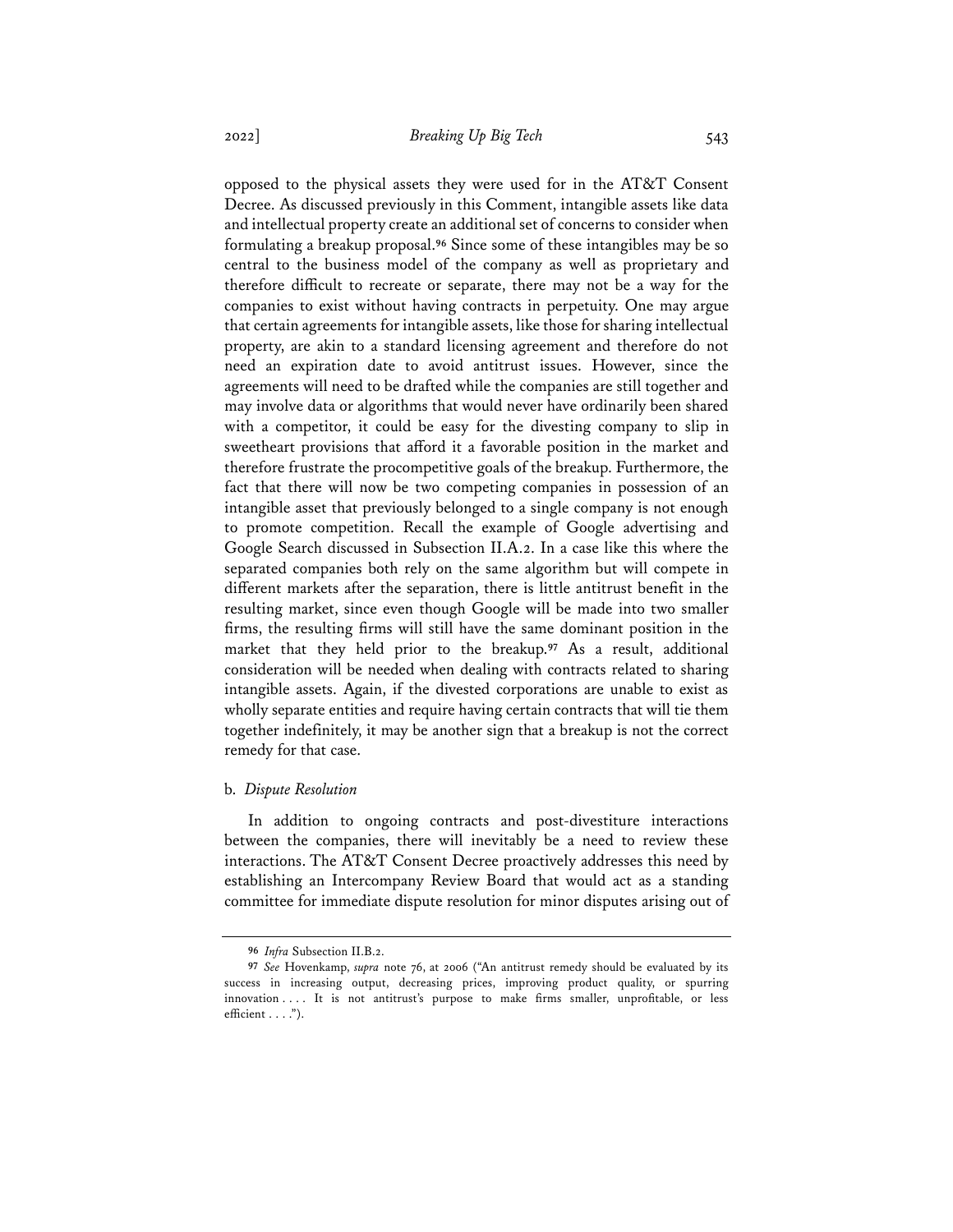opposed to the physical assets they were used for in the AT&T Consent Decree. As discussed previously in this Comment, intangible assets like data and intellectual property create an additional set of concerns to consider when formulating a breakup proposal.**<sup>96</sup>** Since some of these intangibles may be so central to the business model of the company as well as proprietary and therefore difficult to recreate or separate, there may not be a way for the companies to exist without having contracts in perpetuity. One may argue that certain agreements for intangible assets, like those for sharing intellectual property, are akin to a standard licensing agreement and therefore do not need an expiration date to avoid antitrust issues. However, since the agreements will need to be drafted while the companies are still together and may involve data or algorithms that would never have ordinarily been shared with a competitor, it could be easy for the divesting company to slip in sweetheart provisions that afford it a favorable position in the market and therefore frustrate the procompetitive goals of the breakup. Furthermore, the fact that there will now be two competing companies in possession of an intangible asset that previously belonged to a single company is not enough to promote competition. Recall the example of Google advertising and Google Search discussed in Subsection II.A.2. In a case like this where the separated companies both rely on the same algorithm but will compete in different markets after the separation, there is little antitrust benefit in the resulting market, since even though Google will be made into two smaller firms, the resulting firms will still have the same dominant position in the market that they held prior to the breakup.**<sup>97</sup>** As a result, additional consideration will be needed when dealing with contracts related to sharing intangible assets. Again, if the divested corporations are unable to exist as wholly separate entities and require having certain contracts that will tie them together indefinitely, it may be another sign that a breakup is not the correct remedy for that case.

#### b. *Dispute Resolution*

In addition to ongoing contracts and post-divestiture interactions between the companies, there will inevitably be a need to review these interactions. The AT&T Consent Decree proactively addresses this need by establishing an Intercompany Review Board that would act as a standing committee for immediate dispute resolution for minor disputes arising out of

**<sup>96</sup>** *Infra* Subsection II.B.2.

**<sup>97</sup>** *See* Hovenkamp, *supra* note 76, at 2006 ("An antitrust remedy should be evaluated by its success in increasing output, decreasing prices, improving product quality, or spurring innovation . . . . It is not antitrust's purpose to make firms smaller, unprofitable, or less efficient . . . .").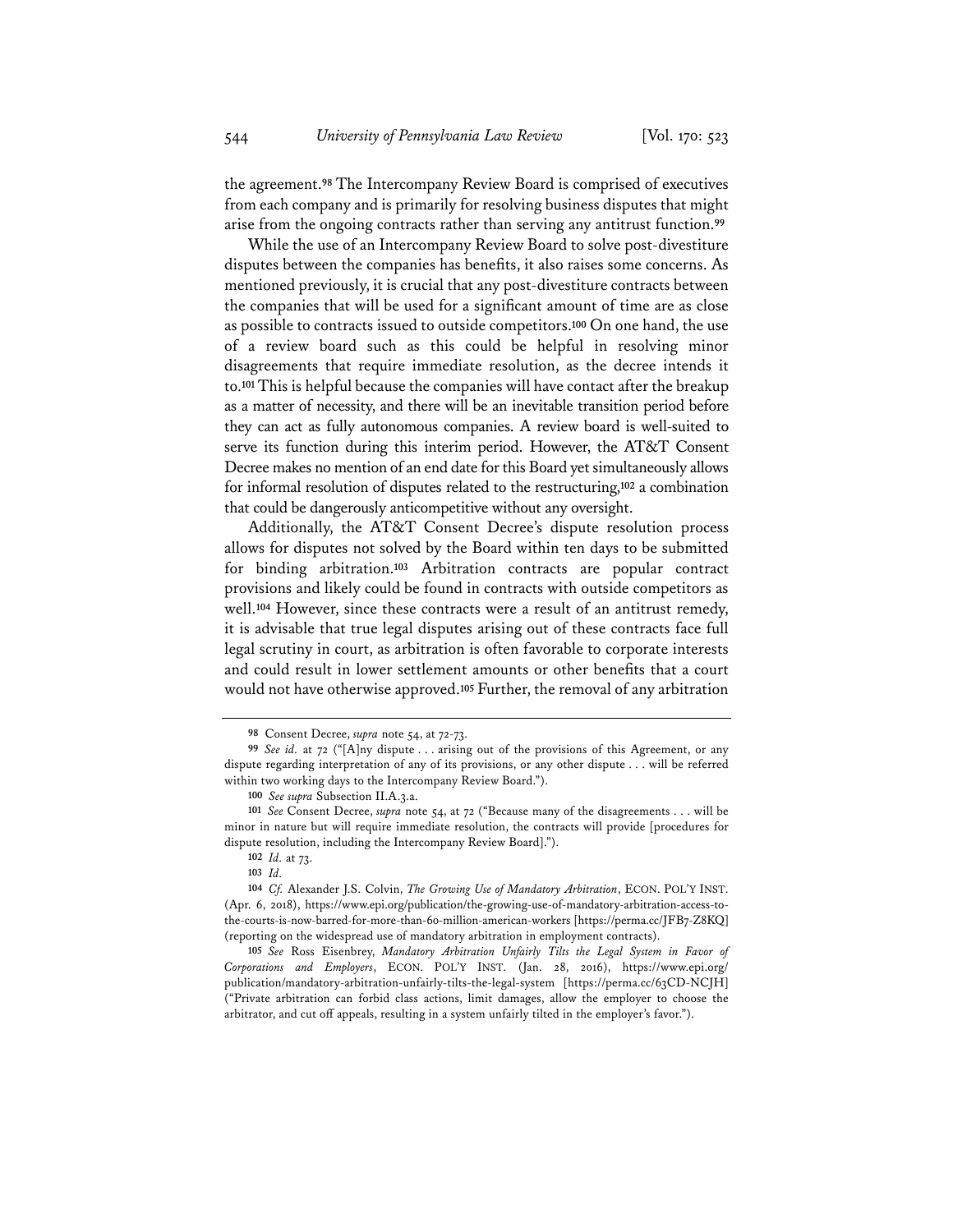the agreement.**<sup>98</sup>** The Intercompany Review Board is comprised of executives from each company and is primarily for resolving business disputes that might arise from the ongoing contracts rather than serving any antitrust function.**<sup>99</sup>**

While the use of an Intercompany Review Board to solve post-divestiture disputes between the companies has benefits, it also raises some concerns. As mentioned previously, it is crucial that any post-divestiture contracts between the companies that will be used for a significant amount of time are as close as possible to contracts issued to outside competitors.**<sup>100</sup>** On one hand, the use of a review board such as this could be helpful in resolving minor disagreements that require immediate resolution, as the decree intends it to.**<sup>101</sup>** This is helpful because the companies will have contact after the breakup as a matter of necessity, and there will be an inevitable transition period before they can act as fully autonomous companies. A review board is well-suited to serve its function during this interim period. However, the AT&T Consent Decree makes no mention of an end date for this Board yet simultaneously allows for informal resolution of disputes related to the restructuring,**<sup>102</sup>** a combination that could be dangerously anticompetitive without any oversight.

Additionally, the AT&T Consent Decree's dispute resolution process allows for disputes not solved by the Board within ten days to be submitted for binding arbitration.**<sup>103</sup>** Arbitration contracts are popular contract provisions and likely could be found in contracts with outside competitors as well.**<sup>104</sup>** However, since these contracts were a result of an antitrust remedy, it is advisable that true legal disputes arising out of these contracts face full legal scrutiny in court, as arbitration is often favorable to corporate interests and could result in lower settlement amounts or other benefits that a court would not have otherwise approved.**<sup>105</sup>** Further, the removal of any arbitration

**102** *Id.* at 73.

**<sup>98</sup>** Consent Decree, *supra* note 54, at 72-73.

**<sup>99</sup>** *See id.* at 72 ("[A]ny dispute . . . arising out of the provisions of this Agreement, or any dispute regarding interpretation of any of its provisions, or any other dispute . . . will be referred within two working days to the Intercompany Review Board.").

**<sup>100</sup>** *See supra* Subsection II.A.3.a.

**<sup>101</sup>** *See* Consent Decree, *supra* note 54, at 72 ("Because many of the disagreements . . . will be minor in nature but will require immediate resolution, the contracts will provide [procedures for dispute resolution, including the Intercompany Review Board].").

**<sup>103</sup>** *Id.*

**<sup>104</sup>** *Cf.* Alexander J.S. Colvin, *The Growing Use of Mandatory Arbitration*, ECON. POL'Y INST. (Apr. 6, 2018), https://www.epi.org/publication/the-growing-use-of-mandatory-arbitration-access-tothe-courts-is-now-barred-for-more-than-60-million-american-workers [https://perma.cc/JFB7-Z8KQ] (reporting on the widespread use of mandatory arbitration in employment contracts).

**<sup>105</sup>** *See* Ross Eisenbrey, *Mandatory Arbitration Unfairly Tilts the Legal System in Favor of Corporations and Employers*, ECON. POL'Y INST. (Jan. 28, 2016), https://www.epi.org/ publication/mandatory-arbitration-unfairly-tilts-the-legal-system [https://perma.cc/63CD-NCJH] ("Private arbitration can forbid class actions, limit damages, allow the employer to choose the arbitrator, and cut off appeals, resulting in a system unfairly tilted in the employer's favor.").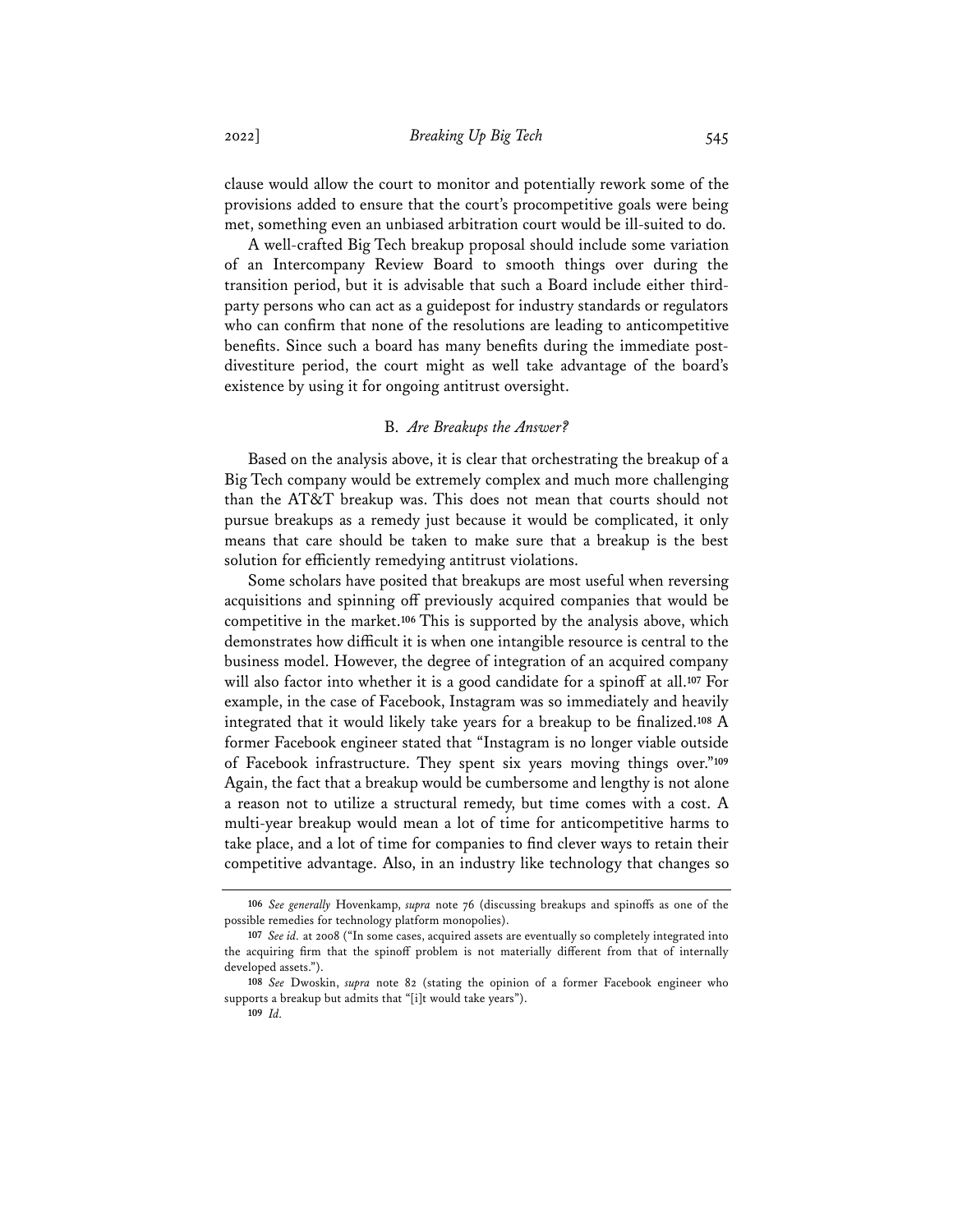clause would allow the court to monitor and potentially rework some of the provisions added to ensure that the court's procompetitive goals were being met, something even an unbiased arbitration court would be ill-suited to do.

A well-crafted Big Tech breakup proposal should include some variation of an Intercompany Review Board to smooth things over during the transition period, but it is advisable that such a Board include either thirdparty persons who can act as a guidepost for industry standards or regulators who can confirm that none of the resolutions are leading to anticompetitive benefits. Since such a board has many benefits during the immediate postdivestiture period, the court might as well take advantage of the board's existence by using it for ongoing antitrust oversight.

### B. *Are Breakups the Answer?*

Based on the analysis above, it is clear that orchestrating the breakup of a Big Tech company would be extremely complex and much more challenging than the AT&T breakup was. This does not mean that courts should not pursue breakups as a remedy just because it would be complicated, it only means that care should be taken to make sure that a breakup is the best solution for efficiently remedying antitrust violations.

Some scholars have posited that breakups are most useful when reversing acquisitions and spinning off previously acquired companies that would be competitive in the market.**<sup>106</sup>** This is supported by the analysis above, which demonstrates how difficult it is when one intangible resource is central to the business model. However, the degree of integration of an acquired company will also factor into whether it is a good candidate for a spinoff at all.**<sup>107</sup>** For example, in the case of Facebook, Instagram was so immediately and heavily integrated that it would likely take years for a breakup to be finalized.**<sup>108</sup>** A former Facebook engineer stated that "Instagram is no longer viable outside of Facebook infrastructure. They spent six years moving things over."**<sup>109</sup>** Again, the fact that a breakup would be cumbersome and lengthy is not alone a reason not to utilize a structural remedy, but time comes with a cost. A multi-year breakup would mean a lot of time for anticompetitive harms to take place, and a lot of time for companies to find clever ways to retain their competitive advantage. Also, in an industry like technology that changes so

**<sup>106</sup>** *See generally* Hovenkamp, *supra* note 76 (discussing breakups and spinoffs as one of the possible remedies for technology platform monopolies).

**<sup>107</sup>** *See id.* at 2008 ("In some cases, acquired assets are eventually so completely integrated into the acquiring firm that the spinoff problem is not materially different from that of internally developed assets.").

**<sup>108</sup>** *See* Dwoskin, *supra* note 82 (stating the opinion of a former Facebook engineer who supports a breakup but admits that "[i]t would take years").

**<sup>109</sup>** *Id.*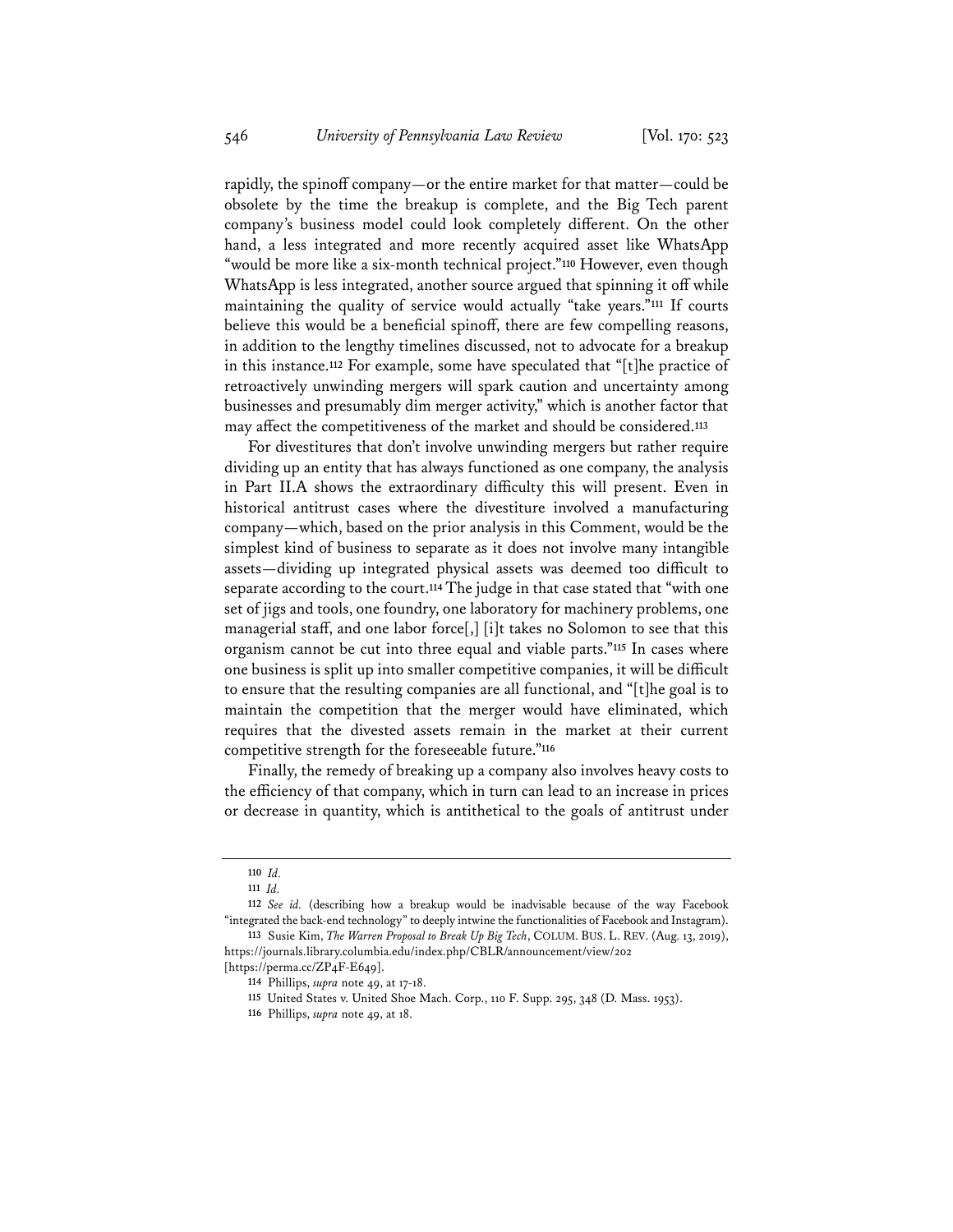rapidly, the spinoff company—or the entire market for that matter—could be obsolete by the time the breakup is complete, and the Big Tech parent company's business model could look completely different. On the other hand, a less integrated and more recently acquired asset like WhatsApp "would be more like a six-month technical project."**<sup>110</sup>** However, even though WhatsApp is less integrated, another source argued that spinning it off while maintaining the quality of service would actually "take years."**<sup>111</sup>** If courts believe this would be a beneficial spinoff, there are few compelling reasons, in addition to the lengthy timelines discussed, not to advocate for a breakup in this instance.**<sup>112</sup>** For example, some have speculated that "[t]he practice of retroactively unwinding mergers will spark caution and uncertainty among businesses and presumably dim merger activity," which is another factor that may affect the competitiveness of the market and should be considered.**<sup>113</sup>**

For divestitures that don't involve unwinding mergers but rather require dividing up an entity that has always functioned as one company, the analysis in Part II.A shows the extraordinary difficulty this will present. Even in historical antitrust cases where the divestiture involved a manufacturing company—which, based on the prior analysis in this Comment, would be the simplest kind of business to separate as it does not involve many intangible assets—dividing up integrated physical assets was deemed too difficult to separate according to the court.**<sup>114</sup>** The judge in that case stated that "with one set of jigs and tools, one foundry, one laboratory for machinery problems, one managerial staff, and one labor force[,] [i]t takes no Solomon to see that this organism cannot be cut into three equal and viable parts."**<sup>115</sup>** In cases where one business is split up into smaller competitive companies, it will be difficult to ensure that the resulting companies are all functional, and "[t]he goal is to maintain the competition that the merger would have eliminated, which requires that the divested assets remain in the market at their current competitive strength for the foreseeable future."**<sup>116</sup>**

Finally, the remedy of breaking up a company also involves heavy costs to the efficiency of that company, which in turn can lead to an increase in prices or decrease in quantity, which is antithetical to the goals of antitrust under

**<sup>110</sup>** *Id.*

**<sup>111</sup>** *Id.*

**<sup>112</sup>** *See id.* (describing how a breakup would be inadvisable because of the way Facebook "integrated the back-end technology" to deeply intwine the functionalities of Facebook and Instagram). **113** Susie Kim, *The Warren Proposal to Break Up Big Tech*, COLUM. BUS. L. REV. (Aug. 13, 2019),

https://journals.library.columbia.edu/index.php/CBLR/announcement/view/202

<sup>[</sup>https://perma.cc/ZP4F-E649].

**<sup>114</sup>** Phillips, *supra* note 49, at 17-18.

**<sup>115</sup>** United States v. United Shoe Mach. Corp., 110 F. Supp. 295, 348 (D. Mass. 1953).

**<sup>116</sup>** Phillips, *supra* note 49, at 18.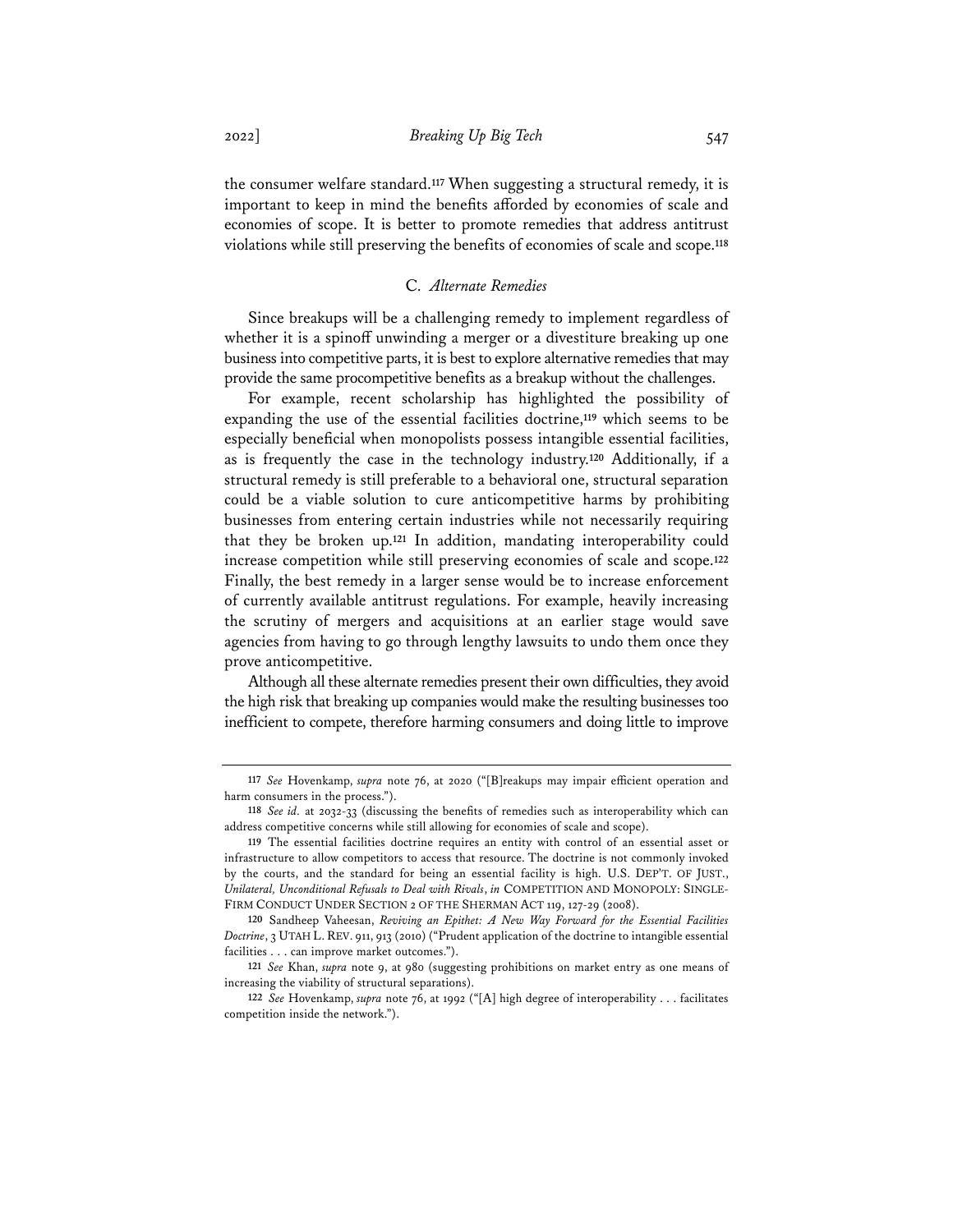the consumer welfare standard.**<sup>117</sup>** When suggesting a structural remedy, it is important to keep in mind the benefits afforded by economies of scale and economies of scope. It is better to promote remedies that address antitrust violations while still preserving the benefits of economies of scale and scope.**<sup>118</sup>**

## C. *Alternate Remedies*

Since breakups will be a challenging remedy to implement regardless of whether it is a spinoff unwinding a merger or a divestiture breaking up one business into competitive parts, it is best to explore alternative remedies that may provide the same procompetitive benefits as a breakup without the challenges.

For example, recent scholarship has highlighted the possibility of expanding the use of the essential facilities doctrine,**<sup>119</sup>** which seems to be especially beneficial when monopolists possess intangible essential facilities, as is frequently the case in the technology industry.**<sup>120</sup>** Additionally, if a structural remedy is still preferable to a behavioral one, structural separation could be a viable solution to cure anticompetitive harms by prohibiting businesses from entering certain industries while not necessarily requiring that they be broken up.**<sup>121</sup>** In addition, mandating interoperability could increase competition while still preserving economies of scale and scope.**<sup>122</sup>** Finally, the best remedy in a larger sense would be to increase enforcement of currently available antitrust regulations. For example, heavily increasing the scrutiny of mergers and acquisitions at an earlier stage would save agencies from having to go through lengthy lawsuits to undo them once they prove anticompetitive.

Although all these alternate remedies present their own difficulties, they avoid the high risk that breaking up companies would make the resulting businesses too inefficient to compete, therefore harming consumers and doing little to improve

**<sup>117</sup>** *See* Hovenkamp, *supra* note 76, at 2020 ("[B]reakups may impair efficient operation and harm consumers in the process.").

**<sup>118</sup>** *See id.* at 2032-33 (discussing the benefits of remedies such as interoperability which can address competitive concerns while still allowing for economies of scale and scope).

**<sup>119</sup>** The essential facilities doctrine requires an entity with control of an essential asset or infrastructure to allow competitors to access that resource. The doctrine is not commonly invoked by the courts, and the standard for being an essential facility is high. U.S. DEP'T. OF JUST., *Unilateral, Unconditional Refusals to Deal with Rivals*, *in* COMPETITION AND MONOPOLY: SINGLE-FIRM CONDUCT UNDER SECTION 2 OF THE SHERMAN ACT 119, 127-29 (2008).

**<sup>120</sup>** Sandheep Vaheesan, *Reviving an Epithet: A New Way Forward for the Essential Facilities Doctrine*, 3 UTAH L. REV. 911, 913 (2010) ("Prudent application of the doctrine to intangible essential facilities . . . can improve market outcomes.").

**<sup>121</sup>** *See* Khan, *supra* note 9, at 980 (suggesting prohibitions on market entry as one means of increasing the viability of structural separations).

**<sup>122</sup>** *See* Hovenkamp, *supra* note 76, at 1992 ("[A] high degree of interoperability . . . facilitates competition inside the network.").